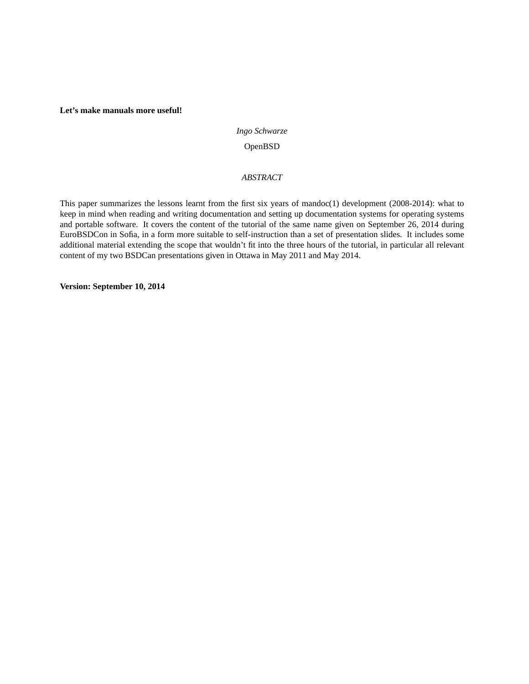# **Let's make manuals more useful!**

## *Ingo Schwarze*

# OpenBSD

# *ABSTRACT*

This paper summarizes the lessons learnt from the first six years of mandoc(1) development (2008-2014): what to keep in mind when reading and writing documentation and setting up documentation systems for operating systems and portable software. It covers the content of the tutorial of the same name given on September 26, 2014 during EuroBSDCon in Sofia, in a form more suitable to self-instruction than a set of presentation slides. It includes some additional material extending the scope that wouldn't fit into the three hours of the tutorial, in particular all relevant content of my two BSDCan presentations given in Ottawa in May 2011 and May 2014.

**Version: September 10, 2014**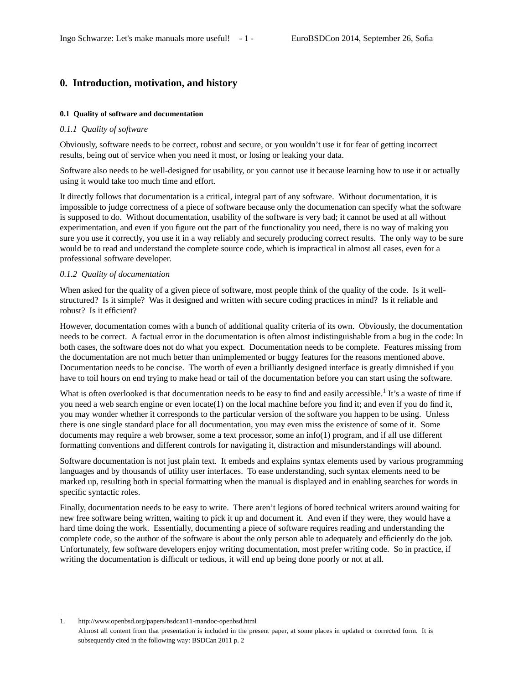# **0. Introduction, motivation, and history**

# **0.1 Quality of software and documentation**

## *0.1.1 Quality of software*

Obviously, software needs to be correct, robust and secure, or you wouldn't use it for fear of getting incorrect results, being out of service when you need it most, or losing or leaking your data.

Software also needs to be well-designed for usability, or you cannot use it because learning how to use it or actually using it would take too much time and effort.

It directly follows that documentation is a critical, integral part of any software. Without documentation, it is impossible to judge correctness of a piece of software because only the documenation can specify what the software is supposed to do. Without documentation, usability of the software is very bad; it cannot be used at all without experimentation, and even if you figure out the part of the functionality you need, there is no way of making you sure you use it correctly, you use it in a way reliably and securely producing correct results. The only way to be sure would be to read and understand the complete source code, which is impractical in almost all cases, even for a professional software developer.

## *0.1.2 Quality of documentation*

When asked for the quality of a given piece of software, most people think of the quality of the code. Is it wellstructured? Is it simple? Was it designed and written with secure coding practices in mind? Is it reliable and robust? Is it efficient?

However, documentation comes with a bunch of additional quality criteria of its own. Obviously, the documentation needs to be correct. A factual error in the documentation is often almost indistinguishable from a bug in the code: In both cases, the software does not do what you expect. Documentation needs to be complete. Features missing from the documentation are not much better than unimplemented or buggy features for the reasons mentioned above. Documentation needs to be concise. The worth of even a brilliantly designed interface is greatly dimnished if you have to toil hours on end trying to make head or tail of the documentation before you can start using the software.

What is often overlooked is that documentation needs to be easy to find and easily accessible.<sup>1</sup> It's a waste of time if you need a web search engine or even locate(1) on the local machine before you find it; and even if you do find it, you may wonder whether it corresponds to the particular version of the software you happen to be using. Unless there is one single standard place for all documentation, you may even miss the existence of some of it. Some documents may require a web browser, some a text processor, some an info(1) program, and if all use different formatting conventions and different controls for navigating it, distraction and misunderstandings will abound.

Software documentation is not just plain text. It embeds and explains syntax elements used by various programming languages and by thousands of utility user interfaces. To ease understanding, such syntax elements need to be marked up, resulting both in special formatting when the manual is displayed and in enabling searches for words in specific syntactic roles.

Finally, documentation needs to be easy to write. There aren't legions of bored technical writers around waiting for new free software being written, waiting to pick it up and document it. And even if they were, they would have a hard time doing the work. Essentially, documenting a piece of software requires reading and understanding the complete code, so the author of the software is about the only person able to adequately and efficiently do the job. Unfortunately, few software developers enjoy writing documentation, most prefer writing code. So in practice, if writing the documentation is difficult or tedious, it will end up being done poorly or not at all.

<sup>1.</sup> http://www.openbsd.org/papers/bsdcan11-mandoc-openbsd.html Almost all content from that presentation is included in the present paper, at some places in updated or corrected form. It is subsequently cited in the following way: BSDCan 2011 p. 2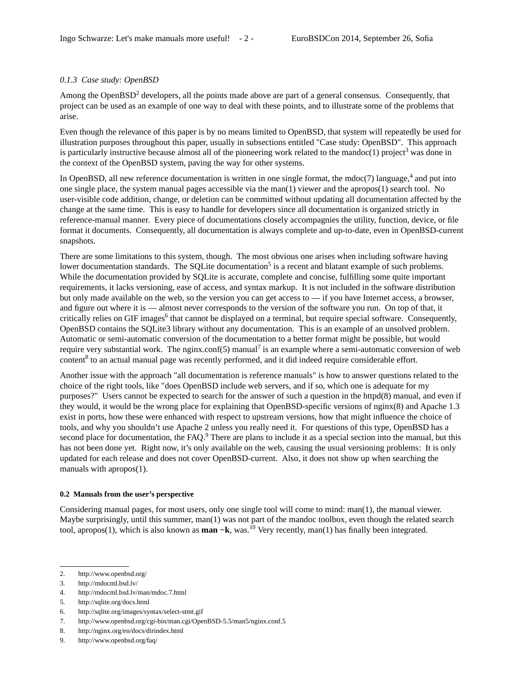# *0.1.3 Case study: OpenBSD*

Among the Open $BSD^2$  developers, all the points made above are part of a general consensus. Consequently, that project can be used as an example of one way to deal with these points, and to illustrate some of the problems that arise.

Even though the relevance of this paper is by no means limited to OpenBSD, that system will repeatedly be used for illustration purposes throughout this paper, usually in subsections entitled "Case study: OpenBSD". This approach is particularly instructive because almost all of the pioneering work related to the mandoc $(1)$  project<sup>3</sup> was done in the context of the OpenBSD system, paving the way for other systems.

In OpenBSD, all new reference documentation is written in one single format, the mdoc(7) language,<sup>4</sup> and put into one single place, the system manual pages accessible via the man(1) viewer and the apropos(1) search tool. No user-visible code addition, change, or deletion can be committed without updating all documentation affected by the change at the same time. This is easy to handle for developers since all documentation is organized strictly in reference-manual manner. Every piece of documentations closely accompagnies the utility, function, device, or file format it documents. Consequently, all documentation is always complete and up-to-date, even in OpenBSD-current snapshots.

There are some limitations to this system, though. The most obvious one arises when including software having lower documentation standards. The SQLite documentation<sup>5</sup> is a recent and blatant example of such problems. While the documentation provided by SQLite is accurate, complete and concise, fulfilling some quite important requirements, it lacks versioning, ease of access, and syntax markup. It is not included in the software distribution but only made available on the web, so the version you can get access to — if you have Internet access, a browser, and figure out where it is — almost never corresponds to the version of the software you run. On top of that, it critically relies on GIF images<sup>6</sup> that cannot be displayed on a terminal, but require special software. Consequently, OpenBSD contains the SQLite3 library without any documentation. This is an example of an unsolved problem. Automatic or semi-automatic conversion of the documentation to a better format might be possible, but would require very substantial work. The nginx.conf(5) manual<sup>7</sup> is an example where a semi-automatic conversion of web content<sup>8</sup> to an actual manual page was recently performed, and it did indeed require considerable effort.

Another issue with the approach "all documentation is reference manuals" is how to answer questions related to the choice of the right tools, like "does OpenBSD include web servers, and if so, which one is adequate for my purposes?" Users cannot be expected to search for the answer of such a question in the httpd(8) manual, and even if they would, it would be the wrong place for explaining that OpenBSD-specific versions of nginx(8) and Apache 1.3 exist in ports, how these were enhanced with respect to upstream versions, how that might influence the choice of tools, and why you shouldn't use Apache 2 unless you really need it. For questions of this type, OpenBSD has a second place for documentation, the FAQ.<sup>9</sup> There are plans to include it as a special section into the manual, but this has not been done yet. Right now, it's only available on the web, causing the usual versioning problems: It is only updated for each release and does not cover OpenBSD-current. Also, it does not show up when searching the manuals with apropos(1).

# **0.2 Manuals from the user's perspective**

Considering manual pages, for most users, only one single tool will come to mind: man(1), the manual viewer. Maybe surprisingly, until this summer, man(1) was not part of the mandoc toolbox, even though the related search tool, apropos(1), which is also known as **man −k**, was.<sup>10</sup> Very recently, man(1) has finally been integrated.

<sup>2.</sup> http://www.openbsd.org/

<sup>3.</sup> http://mdocml.bsd.lv/

<sup>4.</sup> http://mdocml.bsd.lv/man/mdoc.7.html

<sup>5.</sup> http://sqlite.org/docs.html

<sup>6.</sup> http://sqlite.org/images/syntax/select-stmt.gif

<sup>7.</sup> http://www.openbsd.org/cgi-bin/man.cgi/OpenBSD-5.5/man5/nginx.conf.5

<sup>8.</sup> http://nginx.org/en/docs/dirindex.html

<sup>9.</sup> http://www.openbsd.org/faq/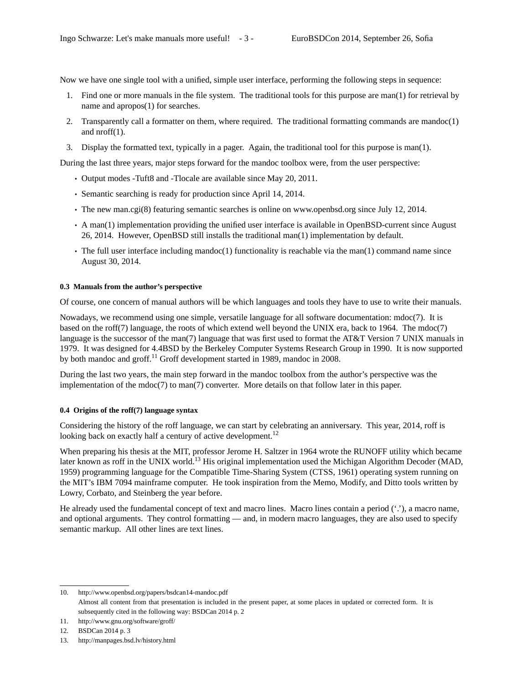Now we have one single tool with a unified, simple user interface, performing the following steps in sequence:

- 1. Find one or more manuals in the file system. The traditional tools for this purpose are man(1) for retrieval by name and apropos(1) for searches.
- 2. Transparently call a formatter on them, where required. The traditional formatting commands are mandoc(1) and nroff(1).
- 3. Display the formatted text, typically in a pager. Again, the traditional tool for this purpose is man(1).

During the last three years, major steps forward for the mandoc toolbox were, from the user perspective:

- Output modes -Tuft8 and -Tlocale are available since May 20, 2011.
- Semantic searching is ready for production since April 14, 2014.
- The new man.cgi(8) featuring semantic searches is online on www.openbsd.org since July 12, 2014.
- A man(1) implementation providing the unified user interface is available in OpenBSD-current since August 26, 2014. However, OpenBSD still installs the traditional man(1) implementation by default.
- The full user interface including mandoc(1) functionality is reachable via the man(1) command name since August 30, 2014.

#### **0.3 Manuals from the author's perspective**

Of course, one concern of manual authors will be which languages and tools they hav e to use to write their manuals.

Nowadays, we recommend using one simple, versatile language for all software documentation: mdoc(7). It is based on the roff(7) language, the roots of which extend well beyond the UNIX era, back to 1964. The mdoc(7) language is the successor of the man(7) language that was first used to format the AT&T Version 7 UNIX manuals in 1979. It was designed for 4.4BSD by the Berkeley Computer Systems Research Group in 1990. It is now supported by both mandoc and groff.<sup>11</sup> Groff development started in 1989, mandoc in 2008.

During the last two years, the main step forward in the mandoc toolbox from the author's perspective was the implementation of the  $\text{mdoc}(7)$  to  $\text{man}(7)$  converter. More details on that follow later in this paper.

#### **0.4 Origins of the roff(7) language syntax**

Considering the history of the roff language, we can start by celebrating an anniversary. This year, 2014, roff is looking back on exactly half a century of active development.<sup>12</sup>

When preparing his thesis at the MIT, professor Jerome H. Saltzer in 1964 wrote the RUNOFF utility which became later known as roff in the UNIX world.<sup>13</sup> His original implementation used the Michigan Algorithm Decoder (MAD, 1959) programming language for the Compatible Time-Sharing System (CTSS, 1961) operating system running on the MIT's IBM 7094 mainframe computer. He took inspiration from the Memo, Modify, and Ditto tools written by Lowry, Corbato, and Steinberg the year before.

He already used the fundamental concept of text and macro lines. Macro lines contain a period ('.'), a macro name, and optional arguments. They control formatting — and, in modern macro languages, they are also used to specify semantic markup. All other lines are text lines.

<sup>10.</sup> http://www.openbsd.org/papers/bsdcan14-mandoc.pdf Almost all content from that presentation is included in the present paper, at some places in updated or corrected form. It is subsequently cited in the following way: BSDCan 2014 p. 2

<sup>11.</sup> http://www.gnu.org/software/groff/

<sup>12.</sup> BSDCan 2014 p. 3

<sup>13.</sup> http://manpages.bsd.lv/history.html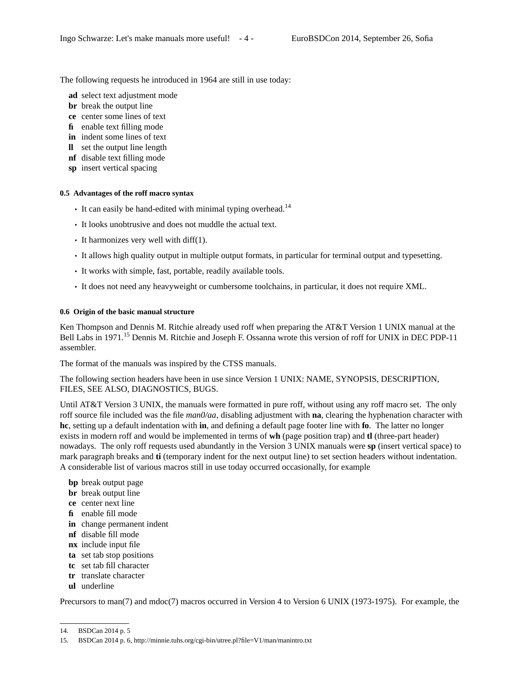The following requests he introduced in 1964 are still in use today:

- **ad** select text adjustment mode
- **br** break the output line
- **ce** center some lines of text
- **fi** enable text filling mode
- **in** indent some lines of text
- **ll** set the output line length
- **nf** disable text filling mode
- **sp** insert vertical spacing

## **0.5 Advantages of the roff macro syntax**

- It can easily be hand-edited with minimal typing overhead.<sup>14</sup>
- It looks unobtrusive and does not muddle the actual text.
- It harmonizes very well with diff(1).
- It allows high quality output in multiple output formats, in particular for terminal output and typesetting.
- It works with simple, fast, portable, readily available tools.
- It does not need any heavyweight or cumbersome toolchains, in particular, it does not require XML.

#### **0.6 Origin of the basic manual structure**

Ken Thompson and Dennis M. Ritchie already used roff when preparing the AT&T Version 1 UNIX manual at the Bell Labs in 1971.<sup>15</sup> Dennis M. Ritchie and Joseph F. Ossanna wrote this version of roff for UNIX in DEC PDP-11 assembler.

The format of the manuals was inspired by the CTSS manuals.

The following section headers have been in use since Version 1 UNIX: NAME, SYNOPSIS, DESCRIPTION, FILES, SEE ALSO, DIAGNOSTICS, BUGS.

Until AT&T Version 3 UNIX, the manuals were formatted in pure roff, without using any roff macro set. The only roff source file included was the file *man0/aa*, disabling adjustment with **na**, clearing the hyphenation character with **hc**, setting up a default indentation with **in**, and defining a default page footer line with **fo**. The latter no longer exists in modern roff and would be implemented in terms of **wh** (page position trap) and **tl** (three-part header) nowadays. The only roff requests used abundantly in the Version 3 UNIX manuals were **sp** (insert vertical space) to mark paragraph breaks and **ti** (temporary indent for the next output line) to set section headers without indentation. A considerable list of various macros still in use today occurred occasionally, for example

- **bp** break output page
- **br** break output line
- **ce** center next line
- **fi** enable fill mode
- **in** change permanent indent
- **nf** disable fill mode
- **nx** include input file
- **ta** set tab stop positions
- **tc** set tab fill character
- **tr** translate character
- **ul** underline

Precursors to man(7) and mdoc(7) macros occurred in Version 4 to Version 6 UNIX (1973-1975). For example, the

<sup>14.</sup> BSDCan 2014 p. 5

<sup>15.</sup> BSDCan 2014 p. 6, http://minnie.tuhs.org/cgi-bin/utree.pl?file=V1/man/manintro.txt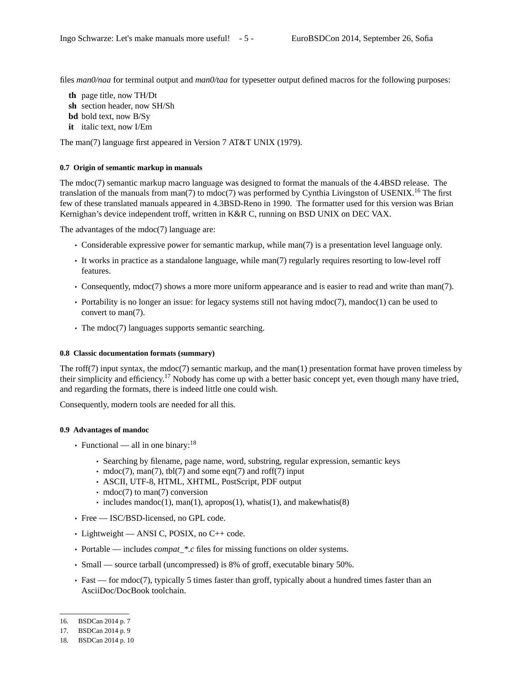files  $man0/naa$  for terminal output and  $man0/taa$  for typesetter output defined macros for the following purposes:

- **th** page title, now TH/Dt
- **sh** section header, now SH/Sh
- **bd** bold text, now B/Sy
- **it** italic text, now I/Em

The man(7) language first appeared in Version 7 AT&T UNIX (1979).

#### **0.7 Origin of semantic markup in manuals**

The mdoc(7) semantic markup macro language was designed to format the manuals of the 4.4BSD release. The translation of the manuals from man(7) to mdoc(7) was performed by Cynthia Livingston of USENIX.<sup>16</sup> The first few of these translated manuals appeared in 4.3BSD-Reno in 1990. The formatter used for this version was Brian Kernighan's device independent troff, written in K&R C, running on BSD UNIX on DEC VAX.

The advantages of the mdoc(7) language are:

- Considerable expressive power for semantic markup, while man(7) is a presentation level language only.
- It works in practice as a standalone language, while man(7) regularly requires resorting to low-level roff features.
- Consequently, mdoc(7) shows a more more uniform appearance and is easier to read and write than man(7).
- Portability is no longer an issue: for legacy systems still not having mdoc(7), mandoc(1) can be used to convert to man(7).
- The mdoc(7) languages supports semantic searching.

#### **0.8 Classic documentation formats (summary)**

The roff(7) input syntax, the mdoc(7) semantic markup, and the man(1) presentation format have proven timeless by their simplicity and efficiency.<sup>17</sup> Nobody has come up with a better basic concept yet, even though many have tried, and regarding the formats, there is indeed little one could wish.

Consequently, modern tools are needed for all this.

#### **0.9 Advantages of mandoc**

- Functional all in one binary: $^{18}$ 
	- Searching by filename, page name, word, substring, regular expression, semantic keys
	- mdoc(7), man(7), tbl(7) and some eqn(7) and roff(7) input
	- ASCII, UTF-8, HTML, XHTML, PostScript, PDF output
	- mdoc(7) to man(7) conversion
	- includes mandoc(1), man(1), apropos(1), whatis(1), and makewhatis(8)
- Free ISC/BSD-licensed, no GPL code.
- Lightweight ANSI C, POSIX, no C++ code.
- Portable includes *compat\_\*.c* files for missing functions on older systems.
- Small source tarball (uncompressed) is 8% of groff, executable binary 50%.
- Fast for mdoc(7), typically 5 times faster than groff, typically about a hundred times faster than an AsciiDoc/DocBook toolchain.

<sup>16.</sup> BSDCan 2014 p. 7

<sup>17.</sup> BSDCan 2014 p. 9

<sup>18.</sup> BSDCan 2014 p. 10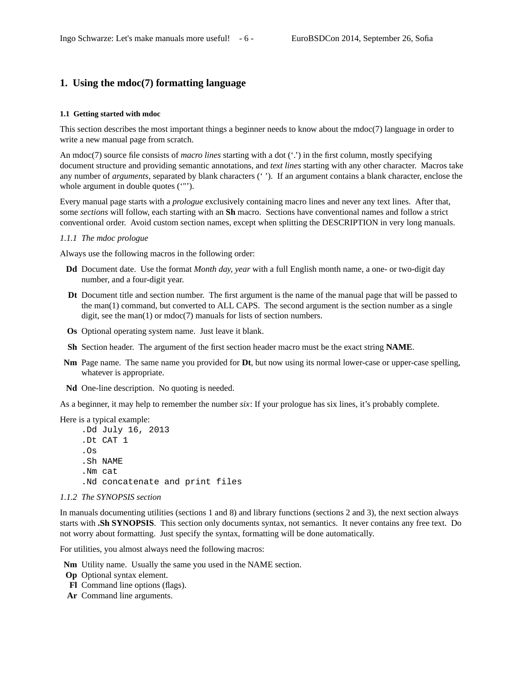# **1. Using the mdoc(7) formatting language**

#### **1.1 Getting started with mdoc**

This section describes the most important things a beginner needs to know about the mdoc(7) language in order to write a new manual page from scratch.

An mdoc(7) source file consists of *macro lines* starting with a dot ('.') in the first column, mostly specifying document structure and providing semantic annotations, and *text lines* starting with any other character. Macros take any number of *arguments*, separated by blank characters ('). If an argument contains a blank character, enclose the whole argument in double quotes ("").

Every manual page starts with a *prologue* exclusively containing macro lines and never any text lines. After that, some *sections* will follow, each starting with an **Sh** macro. Sections have conventional names and follow a strict conventional order. Avoid custom section names, except when splitting the DESCRIPTION in very long manuals.

#### *1.1.1 The mdoc prologue*

Always use the following macros in the following order:

- **Dd** Document date. Use the format *Month day, year* with a full English month name, a one- or two-digit day number, and a four-digit year.
- **Dt** Document title and section number. The first argument is the name of the manual page that will be passed to the man(1) command, but converted to ALL CAPS. The second argument is the section number as a single digit, see the man(1) or mdoc(7) manuals for lists of section numbers.
- **Os** Optional operating system name. Just leave it blank.
- **Sh** Section header. The argument of the first section header macro must be the exact string **NAME**.
- **Nm** Page name. The same name you provided for **Dt**, but now using its normal lower-case or upper-case spelling, whatever is appropriate.
- **Nd** One-line description. No quoting is needed.

As a beginner, it may help to remember the number *six*: If your prologue has six lines, it's probably complete.

Here is a typical example:

.Dd July 16, 2013 .Dt CAT 1 .Os .Sh NAME .Nm cat .Nd concatenate and print files

#### *1.1.2 The SYNOPSIS section*

In manuals documenting utilities (sections 1 and 8) and library functions (sections 2 and 3), the next section always starts with **.Sh SYNOPSIS**. This section only documents syntax, not semantics. It never contains any free text. Do not worry about formatting. Just specify the syntax, formatting will be done automatically.

For utilities, you almost always need the following macros:

**Nm** Utility name. Usually the same you used in the NAME section.

- **Op** Optional syntax element.
- **Fl** Command line options (flags).
- **Ar** Command line arguments.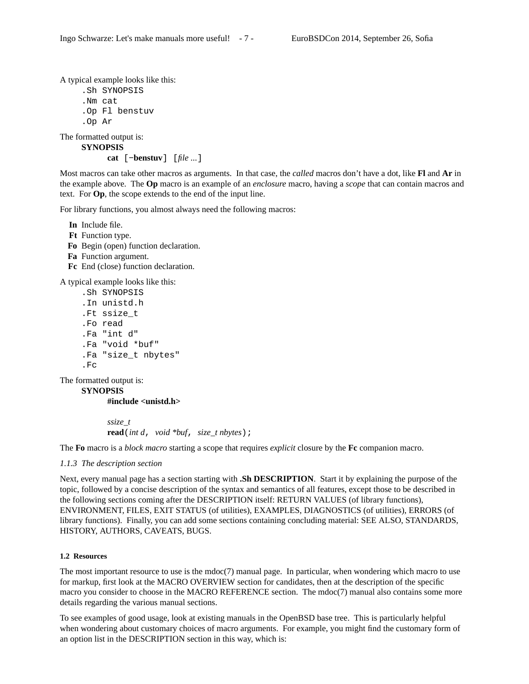A typical example looks like this:

```
.Sh SYNOPSIS
.Nm cat
.Op Fl benstuv
.Op Ar
```
The formatted output is:

```
SYNOPSIS
```
**cat** [**−benstuv**] [*file ...*]

Most macros can take other macros as arguments. In that case, the *called* macros don't have a dot, like **Fl** and Ar in the example above. The **Op** macro is an example of an *enclosure* macro, having a *scope* that can contain macros and text. For **Op**, the scope extends to the end of the input line.

For library functions, you almost always need the following macros:

**In** Include file. **Ft** Function type. **Fo** Begin (open) function declaration. **Fa** Function argument. **Fc** End (close) function declaration.

A typical example looks like this:

```
.Sh SYNOPSIS
.In unistd.h
.Ft ssize_t
.Fo read
.Fa "int d"
.Fa "void *buf"
.Fa "size_t nbytes"
.Fc
```
The formatted output is:

**SYNOPSIS**

**#include <unistd.h>**

*ssize\_t* **read**(*int d*, *void \*buf*, *size\_t nbytes*);

The **Fo** macro is a *block macro* starting a scope that requires *explicit* closure by the **Fc** companion macro.

# *1.1.3 The description section*

Next, every manual page has a section starting with **.Sh DESCRIPTION**. Start it by explaining the purpose of the topic, followed by a concise description of the syntax and semantics of all features, except those to be described in the following sections coming after the DESCRIPTION itself: RETURN VALUES (of library functions), ENVIRONMENT, FILES, EXIT STATUS (of utilities), EXAMPLES, DIAGNOSTICS (of utilities), ERRORS (of library functions). Finally, you can add some sections containing concluding material: SEE ALSO, STANDARDS, HISTORY, AUTHORS, CAVEATS, BUGS.

# **1.2 Resources**

The most important resource to use is the mdoc(7) manual page. In particular, when wondering which macro to use for markup, first look at the MACRO OVERVIEW section for candidates, then at the description of the specific macro you consider to choose in the MACRO REFERENCE section. The mdoc(7) manual also contains some more details regarding the various manual sections.

To see examples of good usage, look at existing manuals in the OpenBSD base tree. This is particularly helpful when wondering about customary choices of macro arguments. For example, you might find the customary form of an option list in the DESCRIPTION section in this way, which is: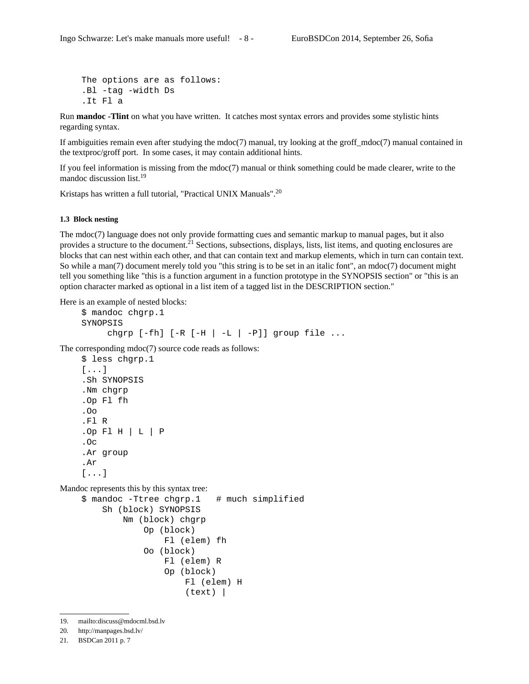```
The options are as follows:
.Bl -tag -width Ds
.It Fl a
```
Run **mandoc -Tlint** on what you have written. It catches most syntax errors and provides some stylistic hints regarding syntax.

If ambiguities remain even after studying the mdoc(7) manual, try looking at the groff\_mdoc(7) manual contained in the textproc/groff port. In some cases, it may contain additional hints.

If you feel information is missing from the mdoc(7) manual or think something could be made clearer, write to the mandoc discussion list.<sup>19</sup>

Kristaps has written a full tutorial, "Practical UNIX Manuals".<sup>20</sup>

#### **1.3 Block nesting**

The mdoc(7) language does not only provide formatting cues and semantic markup to manual pages, but it also provides a structure to the document.<sup>21</sup> Sections, subsections, displays, lists, list items, and quoting enclosures are blocks that can nest within each other, and that can contain text and markup elements, which in turn can contain text. So while a man(7) document merely told you "this string is to be set in an italic font", an mdoc(7) document might tell you something like "this is a function argument in a function prototype in the SYNOPSIS section" or "this is an option character marked as optional in a list item of a tagged list in the DESCRIPTION section."

Here is an example of nested blocks:

\$ mandoc chgrp.1 SYNOPSIS chgrp  $[-fh]$   $[-R [-H] -L] -P$ ]] group file ...

The corresponding mdoc(7) source code reads as follows:

```
$ less chgrp.1
[...]
.Sh SYNOPSIS
.Nm chgrp
.Op Fl fh
.Oo
.Fl R
. Op Fl H \vert L \vert P
.Oc
.Ar group
.Ar
[...]
```
Mandoc represents this by this syntax tree:

```
$ mandoc -Ttree chgrp.1 # much simplified
   Sh (block) SYNOPSIS
       Nm (block) chgrp
           Op (block)
                Fl (elem) fh
           Oo (block)
                Fl (elem) R
                Op (block)
                    Fl (elem) H
                    (text) |
```
19. mailto:discuss@mdocml.bsd.lv

<sup>20.</sup> http://manpages.bsd.lv/

<sup>21.</sup> BSDCan 2011 p. 7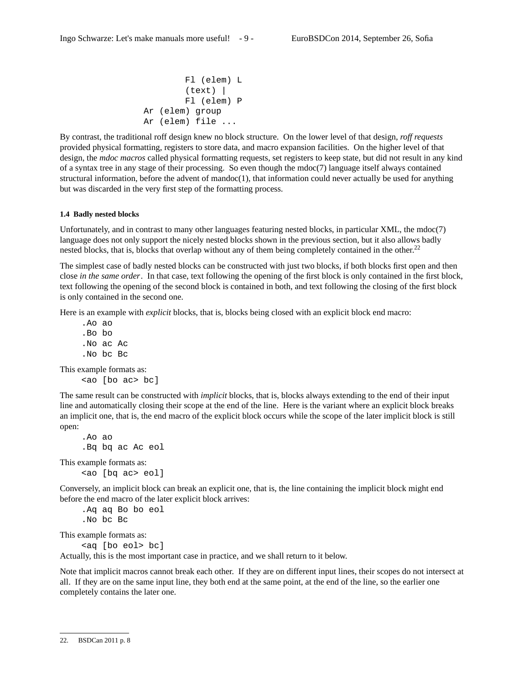```
Fl (elem) L
        (text) |
        Fl (elem) P
Ar (elem) group
Ar (elem) file ...
```
By contrast, the traditional roff design knew no block structure. On the lower level of that design, *roff requests* provided physical formatting, registers to store data, and macro expansion facilities. On the higher level of that design, the *mdoc macros* called physical formatting requests, set registers to keep state, but did not result in any kind of a syntax tree in any stage of their processing. So even though the mdoc(7) language itself always contained structural information, before the advent of mandoc(1), that information could never actually be used for anything but was discarded in the very first step of the formatting process.

#### **1.4 Badly nested blocks**

Unfortunately, and in contrast to many other languages featuring nested blocks, in particular XML, the mdoc(7) language does not only support the nicely nested blocks shown in the previous section, but it also allows badly nested blocks, that is, blocks that overlap without any of them being completely contained in the other.<sup>22</sup>

The simplest case of badly nested blocks can be constructed with just two blocks, if both blocks first open and then close *in the same order*. In that case, text following the opening of the first block is only contained in the first block, text following the opening of the second block is contained in both, and text following the closing of the first block is only contained in the second one.

Here is an example with *explicit* blocks, that is, blocks being closed with an explicit block end macro:

.Ao ao .Bo bo .No ac Ac .No bc Bc

This example formats as:

```
<ao [bo ac> bc]
```
The same result can be constructed with *implicit* blocks, that is, blocks always extending to the end of their input line and automatically closing their scope at the end of the line. Here is the variant where an explicit block breaks an implicit one, that is, the end macro of the explicit block occurs while the scope of the later implicit block is still open:

```
.Ao ao
.Bq bq ac Ac eol
```
This example formats as: <ao [bq ac> eol]

Conversely, an implicit block can break an explicit one, that is, the line containing the implicit block might end before the end macro of the later explicit block arrives:

.Aq aq Bo bo eol .No bc Bc

This example formats as:

<aq [bo eol> bc]

Actually, this is the most important case in practice, and we shall return to it below.

Note that implicit macros cannot break each other. If they are on different input lines, their scopes do not intersect at all. If they are on the same input line, they both end at the same point, at the end of the line, so the earlier one completely contains the later one.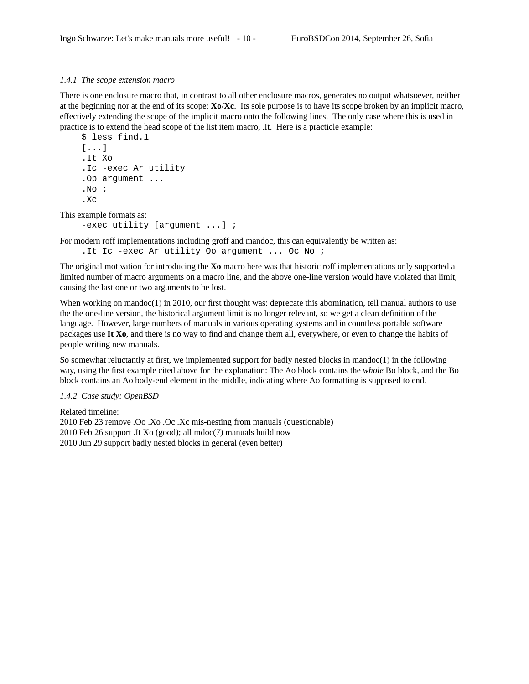# *1.4.1 The scope extension macro*

There is one enclosure macro that, in contrast to all other enclosure macros, generates no output whatsoever, neither at the beginning nor at the end of its scope: **Xo**/**Xc**. Its sole purpose is to have its scope broken by an implicit macro, effectively extending the scope of the implicit macro onto the following lines. The only case where this is used in practice is to extend the head scope of the list item macro, .It. Here is a practicle example:

```
$ less find.1
[...]
.It Xo
.Ic -exec Ar utility
.Op argument ...
.No ;
X<sub>c</sub>
```
This example formats as:

-exec utility [argument ...] ;

For modern roff implementations including groff and mandoc, this can equivalently be written as: . It Ic -exec Ar utility Oo argument ... Oc No ;

The original motivation for introducing the **Xo** macro here was that historic roff implementations only supported a limited number of macro arguments on a macro line, and the above one-line version would have violated that limit, causing the last one or two arguments to be lost.

When working on mandoc $(1)$  in 2010, our first thought was: deprecate this abomination, tell manual authors to use the the one-line version, the historical argument limit is no longer relevant, so we get a clean definition of the language. However, large numbers of manuals in various operating systems and in countless portable software packages use **It Xo**, and there is no way to find and change them all, everywhere, or even to change the habits of people writing new manuals.

So somewhat reluctantly at first, we implemented support for badly nested blocks in mandoc(1) in the following way, using the first example cited above for the explanation: The Ao block contains the *whole* Bo block, and the Bo block contains an Ao body-end element in the middle, indicating where Ao formatting is supposed to end.

# *1.4.2 Case study: OpenBSD*

Related timeline: 2010 Feb 23 remove .Oo .Xo .Oc .Xc mis-nesting from manuals (questionable) 2010 Feb 26 support .It Xo (good); all mdoc(7) manuals build now 2010 Jun 29 support badly nested blocks in general (even better)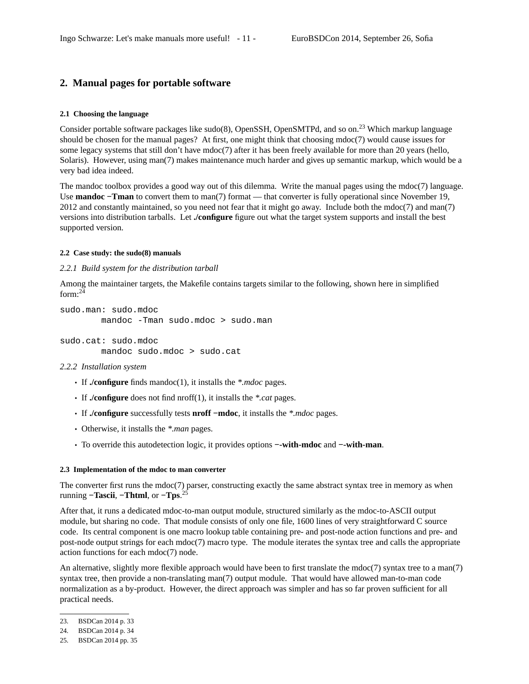# **2. Manual pages for portable software**

# **2.1 Choosing the language**

Consider portable software packages like sudo(8), OpenSSH, OpenSMTPd, and so on.<sup>23</sup> Which markup language should be chosen for the manual pages? At first, one might think that choosing mdoc(7) would cause issues for some legacy systems that still don't have  $\text{mdoc}(7)$  after it has been freely available for more than 20 years (hello, Solaris). However, using man(7) makes maintenance much harder and gives up semantic markup, which would be a very bad idea indeed.

The mandoc toolbox provides a good way out of this dilemma. Write the manual pages using the mdoc(7) language. Use **mandoc** −**Tman** to convert them to man(7) format — that converter is fully operational since November 19, 2012 and constantly maintained, so you need not fear that it might go away. Include both the mdoc(7) and man(7) versions into distribution tarballs. Let **./configure** figure out what the target system supports and install the best supported version.

#### **2.2 Case study: the sudo(8) manuals**

#### *2.2.1 Build system for the distribution tarball*

Among the maintainer targets, the Makefile contains targets similar to the following, shown here in simplified form: $^{24}$ 

```
sudo.man: sudo.mdoc
       mandoc -Tman sudo.mdoc > sudo.man
```
sudo.cat: sudo.mdoc mandoc sudo.mdoc > sudo.cat

#### *2.2.2 Installation system*

- If **./configure** finds mandoc(1), it installs the *\*.mdoc* pages.
- If **./configure** does not find nroff(1), it installs the *\*.cat* pages.
- If **./configure** successfully tests **nroff −mdoc**, it installs the *\*.mdoc* pages.
- Otherwise, it installs the *\*.man* pages.
- To override this autodetection logic, it provides options **−-with-mdoc** and **−-with-man**.

### **2.3 Implementation of the mdoc to man converter**

The converter first runs the mdoc(7) parser, constructing exactly the same abstract syntax tree in memory as when running **−Tascii**, **−Thtml**, or **−Tps**. 25

After that, it runs a dedicated mdoc-to-man output module, structured similarly as the mdoc-to-ASCII output module, but sharing no code. That module consists of only one file, 1600 lines of very straightforward C source code. Its central component is one macro lookup table containing pre- and post-node action functions and pre- and post-node output strings for each mdoc(7) macro type. The module iterates the syntax tree and calls the appropriate action functions for each mdoc(7) node.

An alternative, slightly more flexible approach would have been to first translate the mdoc(7) syntax tree to a man(7) syntax tree, then provide a non-translating man(7) output module. That would have allowed man-to-man code normalization as a by-product. However, the direct approach was simpler and has so far proven sufficient for all practical needs.

<sup>23.</sup> BSDCan 2014 p. 33

<sup>24.</sup> BSDCan 2014 p. 34

<sup>25.</sup> BSDCan 2014 pp. 35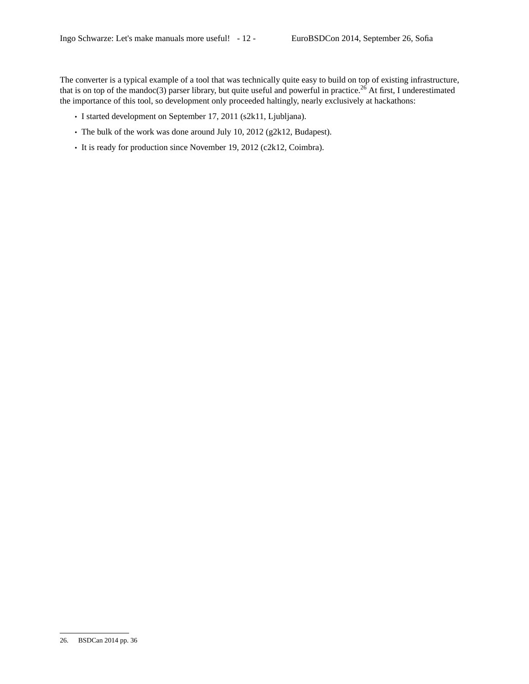The converter is a typical example of a tool that was technically quite easy to build on top of existing infrastructure, that is on top of the mandoc(3) parser library, but quite useful and powerful in practice.<sup>26</sup> At first, I underestimated the importance of this tool, so development only proceeded haltingly, nearly exclusively at hackathons:

- I started development on September 17, 2011 (s2k11, Ljubljana).
- The bulk of the work was done around July 10, 2012 (g2k12, Budapest).
- It is ready for production since November 19, 2012 (c2k12, Coimbra).

<sup>26.</sup> BSDCan 2014 pp. 36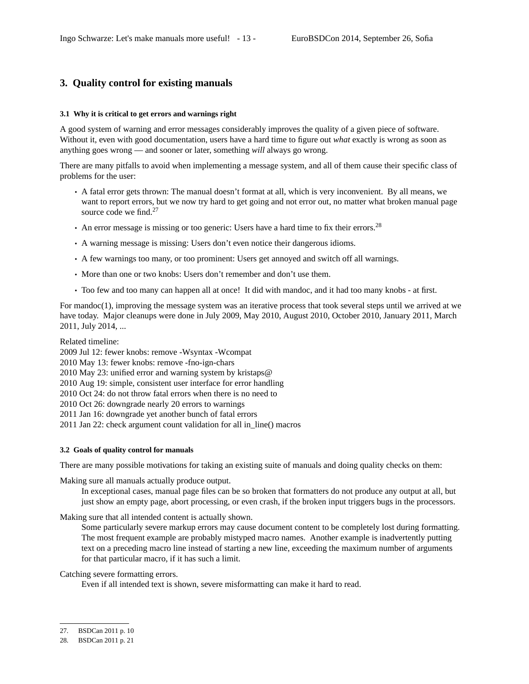# **3. Quality control for existing manuals**

#### **3.1 Why it is critical to get errors and warnings right**

A good system of warning and error messages considerably improves the quality of a given piece of software. Without it, even with good documentation, users have a hard time to figure out *what* exactly is wrong as soon as anything goes wrong — and sooner or later, something *will* always go wrong.

There are many pitfalls to avoid when implementing a message system, and all of them cause their specific class of problems for the user:

- A fatal error gets thrown: The manual doesn't format at all, which is very inconvenient. By all means, we want to report errors, but we now try hard to get going and not error out, no matter what broken manual page source code we find. $27$
- An error message is missing or too generic: Users have a hard time to fix their errors.<sup>28</sup>
- A warning message is missing: Users don't even notice their dangerous idioms.
- A few warnings too many, or too prominent: Users get annoyed and switch off all warnings.
- More than one or two knobs: Users don't remember and don't use them.
- Too few and too many can happen all at once! It did with mandoc, and it had too many knobs at first.

For mandoc(1), improving the message system was an iterative process that took several steps until we arrived at we have today. Major cleanups were done in July 2009, May 2010, August 2010, October 2010, January 2011, March 2011, July 2014, ...

Related timeline:

2009 Jul 12: fewer knobs: remove -Wsyntax -Wcompat

2010 May 13: fewer knobs: remove -fno-ign-chars

2010 May 23: unified error and warning system by kristaps@

2010 Aug 19: simple, consistent user interface for error handling

2010 Oct 24: do not throw fatal errors when there is no need to

2010 Oct 26: downgrade nearly 20 errors to warnings

2011 Jan 16: downgrade yet another bunch of fatal errors

2011 Jan 22: check argument count validation for all in\_line() macros

# **3.2 Goals of quality control for manuals**

There are many possible motivations for taking an existing suite of manuals and doing quality checks on them:

Making sure all manuals actually produce output.

In exceptional cases, manual page files can be so broken that formatters do not produce any output at all, but just show an empty page, abort processing, or even crash, if the broken input triggers bugs in the processors.

Making sure that all intended content is actually shown.

Some particularly severe markup errors may cause document content to be completely lost during formatting. The most frequent example are probably mistyped macro names. Another example is inadvertently putting text on a preceding macro line instead of starting a new line, exceeding the maximum number of arguments for that particular macro, if it has such a limit.

Catching severe formatting errors.

Even if all intended text is shown, severe misformatting can make it hard to read.

<sup>27.</sup> BSDCan 2011 p. 10

<sup>28.</sup> BSDCan 2011 p. 21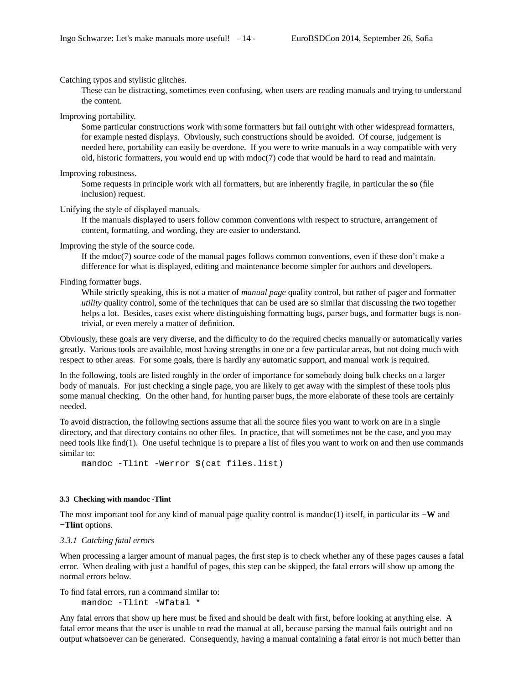Catching typos and stylistic glitches.

These can be distracting, sometimes even confusing, when users are reading manuals and trying to understand the content.

Improving portability.

Some particular constructions work with some formatters but fail outright with other widespread formatters, for example nested displays. Obviously, such constructions should be avoided. Of course, judgement is needed here, portability can easily be overdone. If you were to write manuals in a way compatible with very old, historic formatters, you would end up with mdoc(7) code that would be hard to read and maintain.

Improving robustness.

Some requests in principle work with all formatters, but are inherently fragile, in particular the **so** (file inclusion) request.

Unifying the style of displayed manuals.

If the manuals displayed to users follow common conventions with respect to structure, arrangement of content, formatting, and wording, they are easier to understand.

Improving the style of the source code.

If the mdoc(7) source code of the manual pages follows common conventions, even if these don't make a difference for what is displayed, editing and maintenance become simpler for authors and developers.

Finding formatter bugs.

While strictly speaking, this is not a matter of *manual page* quality control, but rather of pager and formatter *utility* quality control, some of the techniques that can be used are so similar that discussing the two together helps a lot. Besides, cases exist where distinguishing formatting bugs, parser bugs, and formatter bugs is nontrivial, or even merely a matter of definition.

Obviously, these goals are very diverse, and the difficulty to do the required checks manually or automatically varies greatly. Various tools are available, most having strengths in one or a few particular areas, but not doing much with respect to other areas. For some goals, there is hardly any automatic support, and manual work is required.

In the following, tools are listed roughly in the order of importance for somebody doing bulk checks on a larger body of manuals. For just checking a single page, you are likely to get away with the simplest of these tools plus some manual checking. On the other hand, for hunting parser bugs, the more elaborate of these tools are certainly needed.

To avoid distraction, the following sections assume that all the source files you want to work on are in a single directory, and that directory contains no other files. In practice, that will sometimes not be the case, and you may need tools like find(1). One useful technique is to prepare a list of files you want to work on and then use commands similar to:

```
mandoc -Tlint -Werror $(cat files.list)
```
# **3.3 Checking with mandoc -Tlint**

The most important tool for any kind of manual page quality control is mandoc(1) itself, in particular its **−W** and **−Tlint** options.

#### *3.3.1 Catching fatal errors*

When processing a larger amount of manual pages, the first step is to check whether any of these pages causes a fatal error. When dealing with just a handful of pages, this step can be skipped, the fatal errors will show up among the normal errors below.

To find fatal errors, run a command similar to:

mandoc -Tlint -Wfatal \*

Any fatal errors that show up here must be fixed and should be dealt with first, before looking at anything else. A fatal error means that the user is unable to read the manual at all, because parsing the manual fails outright and no output whatsoever can be generated. Consequently, having a manual containing a fatal error is not much better than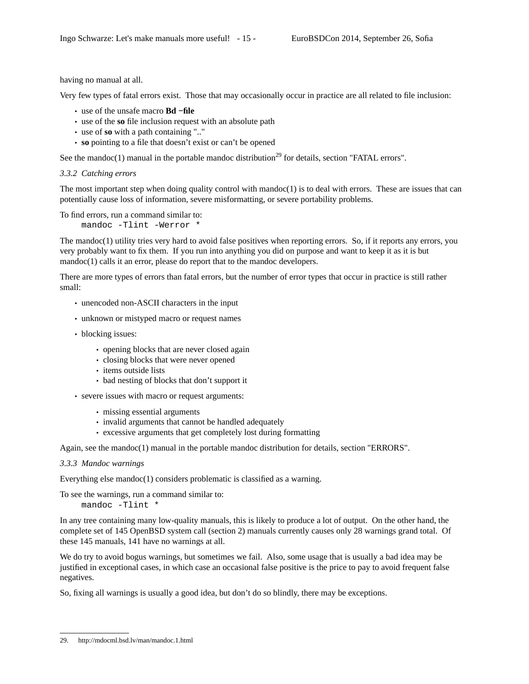having no manual at all.

Very few types of fatal errors exist. Those that may occasionally occur in practice are all related to file inclusion:

- use of the unsafe macro **Bd −file**
- use of the **so** file inclusion request with an absolute path
- use of **so** with a path containing ".."
- **so** pointing to a file that doesn't exist or can't be opened

See the mandoc(1) manual in the portable mandoc distribution<sup>29</sup> for details, section "FATAL errors".

```
3.3.2 Catching errors
```
The most important step when doing quality control with mandoc $(1)$  is to deal with errors. These are issues that can potentially cause loss of information, severe misformatting, or severe portability problems.

To find errors, run a command similar to:

mandoc -Tlint -Werror \*

The mandoc(1) utility tries very hard to avoid false positives when reporting errors. So, if it reports any errors, you very probably want to fix them. If you run into anything you did on purpose and want to keep it as it is but mandoc(1) calls it an error, please do report that to the mandoc developers.

There are more types of errors than fatal errors, but the number of error types that occur in practice is still rather small:

- unencoded non-ASCII characters in the input
- unknown or mistyped macro or request names
- blocking issues:
	- opening blocks that are never closed again
	- closing blocks that were never opened
	- items outside lists
	- bad nesting of blocks that don't support it
- severe issues with macro or request arguments:
	- missing essential arguments
	- invalid arguments that cannot be handled adequately
	- excessive arguments that get completely lost during formatting

Again, see the mandoc(1) manual in the portable mandoc distribution for details, section "ERRORS".

#### *3.3.3 Mandoc warnings*

Everything else mandoc(1) considers problematic is classified as a warning.

To see the warnings, run a command similar to: mandoc -Tlint \*

In any tree containing many low-quality manuals, this is likely to produce a lot of output. On the other hand, the complete set of 145 OpenBSD system call (section 2) manuals currently causes only 28 warnings grand total. Of these 145 manuals, 141 have no warnings at all.

We do try to avoid bogus warnings, but sometimes we fail. Also, some usage that is usually a bad idea may be justified in exceptional cases, in which case an occasional false positive is the price to pay to avoid frequent false negatives.

So, fixing all warnings is usually a good idea, but don't do so blindly, there may be exceptions.

<sup>29.</sup> http://mdocml.bsd.lv/man/mandoc.1.html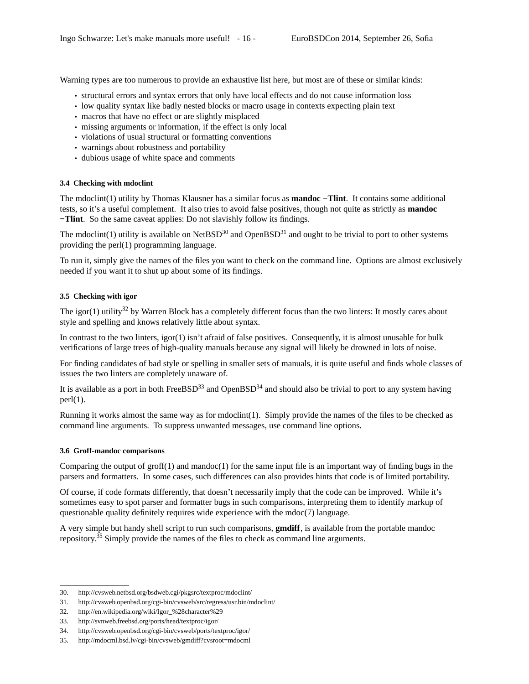Warning types are too numerous to provide an exhaustive list here, but most are of these or similar kinds:

- structural errors and syntax errors that only have local effects and do not cause information loss
- low quality syntax like badly nested blocks or macro usage in contexts expecting plain text
- macros that have no effect or are slightly misplaced
- missing arguments or information, if the effect is only local
- violations of usual structural or formatting conventions
- warnings about robustness and portability
- dubious usage of white space and comments

# **3.4 Checking with mdoclint**

The mdoclint(1) utility by Thomas Klausner has a similar focus as **mandoc −Tlint**. It contains some additional tests, so it's a useful complement. It also tries to avoid false positives, though not quite as strictly as **mandoc −Tlint**. So the same caveat applies: Do not slavishly follow its findings.

The mdoclint(1) utility is available on NetBSD<sup>30</sup> and OpenBSD<sup>31</sup> and ought to be trivial to port to other systems providing the perl(1) programming language.

To run it, simply give the names of the files you want to check on the command line. Options are almost exclusively needed if you want it to shut up about some of its findings.

# **3.5 Checking with igor**

The igor(1) utility<sup>32</sup> by Warren Block has a completely different focus than the two linters: It mostly cares about style and spelling and knows relatively little about syntax.

In contrast to the two linters, igor(1) isn't afraid of false positives. Consequently, it is almost unusable for bulk verifications of large trees of high-quality manuals because any signal will likely be drowned in lots of noise.

For finding candidates of bad style or spelling in smaller sets of manuals, it is quite useful and finds whole classes of issues the two linters are completely unaware of.

It is available as a port in both FreeBSD<sup>33</sup> and OpenBSD<sup>34</sup> and should also be trivial to port to any system having  $perl(1)$ .

Running it works almost the same way as for mdoclint(1). Simply provide the names of the files to be checked as command line arguments. To suppress unwanted messages, use command line options.

# **3.6 Groff-mandoc comparisons**

Comparing the output of  $\text{groff}(1)$  and mandoc $(1)$  for the same input file is an important way of finding bugs in the parsers and formatters. In some cases, such differences can also provides hints that code is of limited portability.

Of course, if code formats differently, that doesn't necessarily imply that the code can be improved. While it's sometimes easy to spot parser and formatter bugs in such comparisons, interpreting them to identify markup of questionable quality definitely requires wide experience with the mdoc(7) language.

A very simple but handy shell script to run such comparisons, **gmdiff**, is available from the portable mandoc repository.<sup>35</sup> Simply provide the names of the files to check as command line arguments.

<sup>30.</sup> http://cvsweb.netbsd.org/bsdweb.cgi/pkgsrc/textproc/mdoclint/

<sup>31.</sup> http://cvsweb.openbsd.org/cgi-bin/cvsweb/src/regress/usr.bin/mdoclint/

<sup>32.</sup> http://en.wikipedia.org/wiki/Igor\_%28character%29

<sup>33.</sup> http://svnweb.freebsd.org/ports/head/textproc/igor/

<sup>34.</sup> http://cvsweb.openbsd.org/cgi-bin/cvsweb/ports/textproc/igor/

<sup>35.</sup> http://mdocml.bsd.lv/cgi-bin/cvsweb/gmdiff?cvsroot=mdocml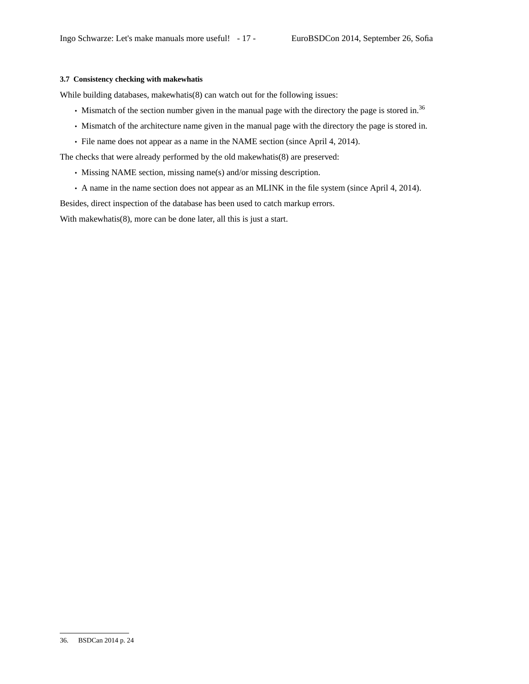#### **3.7 Consistency checking with makewhatis**

While building databases, makewhatis(8) can watch out for the following issues:

- Mismatch of the section number given in the manual page with the directory the page is stored in.<sup>36</sup>
- Mismatch of the architecture name given in the manual page with the directory the page is stored in.
- File name does not appear as a name in the NAME section (since April 4, 2014).

The checks that were already performed by the old makewhatis(8) are preserved:

- Missing NAME section, missing name(s) and/or missing description.
- A name in the name section does not appear as an MLINK in the file system (since April 4, 2014).

Besides, direct inspection of the database has been used to catch markup errors.

With makewhatis(8), more can be done later, all this is just a start.

<sup>36.</sup> BSDCan 2014 p. 24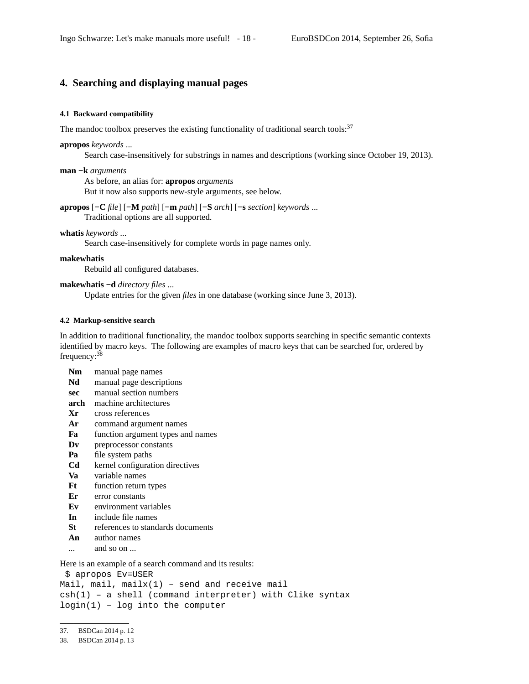# **4. Searching and displaying manual pages**

#### **4.1 Backward compatibility**

The mandoc toolbox preserves the existing functionality of traditional search tools: $37$ 

#### **apropos** *keywords* ...

Search case-insensitively for substrings in names and descriptions (working since October 19, 2013).

#### **man −k** *arguments*

As before, an alias for: **apropos** *arguments*

But it now also supports new-style arguments, see below.

# **apropos** [**−C** *file*] [**−M** *path*] [**−m** *path*] [**−S** *arch*] [**−s** *section*] *keywords* ...

Traditional options are all supported.

## **whatis** *keywords* ...

Search case-insensitively for complete words in page names only.

#### **makewhatis**

Rebuild all configured databases.

### **makewhatis −d** *directory files* ...

Update entries for the given *files* in one database (working since June 3, 2013).

#### **4.2 Markup-sensitive search**

In addition to traditional functionality, the mandoc toolbox supports searching in specific semantic contexts identified by macro keys. The following are examples of macro keys that can be searched for, ordered by frequency:<sup>38</sup>

- **Nm** manual page names
- **Nd** manual page descriptions
- **sec** manual section numbers
- **arch** machine architectures
- **Xr** cross references
- **Ar** command argument names
- **Fa** function argument types and names
- **Dv** preprocessor constants
- **Pa** file system paths
- **Cd** kernel configuration directives
- **Va** variable names
- **Ft** function return types
- **Er** error constants
- **Ev** environment variables
- **In** include file names
- **St** references to standards documents
- **An** author names
- ... and so on ...

Here is an example of a search command and its results:

```
$ apropos Ev=USER
```

```
Mail, mail, mailx(1) - send and receive mail
```

```
csh(1) – a shell (command interpreter) with Clike syntax
login(1) – log into the computer
```
<sup>37.</sup> BSDCan 2014 p. 12

<sup>38.</sup> BSDCan 2014 p. 13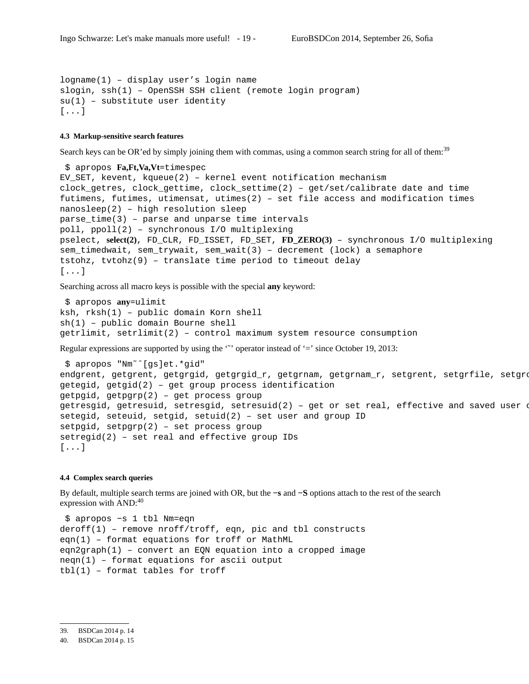logname(1) – display user's login name slogin, ssh(1) – OpenSSH SSH client (remote login program)  $su(1)$  - substitute user identity [...]

## **4.3 Markup-sensitive search features**

Search keys can be OR'ed by simply joining them with commas, using a common search string for all of them:<sup>39</sup>

```
$ apropos Fa,Ft,Va,Vt=timespec
EV_SET, kevent, kqueue(2) – kernel event notification mechanism
clock_getres, clock_gettime, clock_settime(2) – get/set/calibrate date and time
futimens, futimes, utimensat, utimes(2) – set file access and modification times
nanosleep(2) – high resolution sleep
parse_time(3) – parse and unparse time intervals
poll, ppoll(2) – synchronous I/O multiplexing
pselect, select(2), FD_CLR, FD_ISSET, FD_SET, FD_ZERO(3) – synchronous I/O multiplexing
sem_timedwait, sem_trywait, sem_wait(3) – decrement (lock) a semaphore
tstohz, tvtohz(9) – translate time period to timeout delay
[...]
```
Searching across all macro keys is possible with the special **any** keyword:

```
$ apropos any=ulimit
ksh, rksh(1) – public domain Korn shell
sh(1) – public domain Bourne shell
getrlimit, setrlimit(2) – control maximum system resource consumption
```
Regular expressions are supported by using the " operator instead of '=' since October 19, 2013:

```
$ apropos "Nm˜ˆ[gs]et.*gid"
endgrent, getgrent, getgrgid, getgrgid_r, getgrnam, getgrnam_r, setgrent, setgrfile, setgroup
getegid, getgid(2) – get group process identification
getpgid, getpgrp(2) – get process group
getresgid, getresuid, setresgid, setresuid(2) - get or set real, effective and saved user \alphasetegid, seteuid, setgid, setuid(2) – set user and group ID
setpgid, setpgrp(2) – set process group
setregid(2) – set real and effective group IDs
[...]
```
#### **4.4 Complex search queries**

By default, multiple search terms are joined with OR, but the **−s** and **−S** options attach to the rest of the search expression with AND:<sup>40</sup>

\$ apropos −s 1 tbl Nm=eqn deroff(1) – remove nroff/troff, eqn, pic and tbl constructs eqn(1) – format equations for troff or MathML eqn2graph(1) – convert an EQN equation into a cropped image neqn(1) – format equations for ascii output tbl(1) – format tables for troff

<sup>40.</sup> BSDCan 2014 p. 15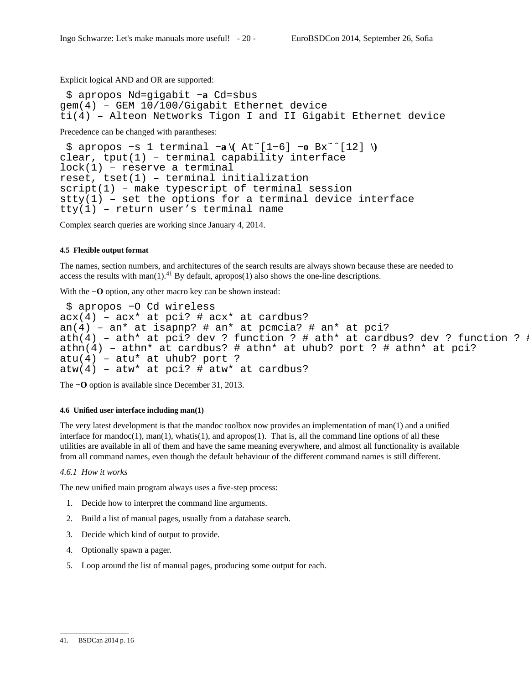Explicit logical AND and OR are supported:

\$ apropos Nd=gigabit **−a** Cd=sbus gem(4) – GEM 10/100/Gigabit Ethernet device ti(4) – Alteon Networks Tigon I and II Gigabit Ethernet device

Precedence can be changed with parantheses:

```
$ apropos −s 1 terminal −a \( At˜[1−6] −o Bx˜ˆ[12] \)
clear, tput(1) – terminal capability interface
lock(1) – reserve a terminal
reset, tset(1) – terminal initialization
script(1) – make typescript of terminal session
stty(1) – set the options for a terminal device interface
tty(1) – return user's terminal name
```
Complex search queries are working since January 4, 2014.

### **4.5 Flexible output format**

The names, section numbers, and architectures of the search results are always shown because these are needed to access the results with man(1).<sup>41</sup> By default, apropos(1) also shows the one-line descriptions.

With the **−O** option, any other macro key can be shown instead:

```
$ apropos −O Cd wireless
acx(4) – acx* at pci? # acx* at cardbus?
an(4) - an* at isapnp? # an* at pcmcia? # an* at pci?
ath(4) – ath* at pci? dev ? function ? # ath* at cardbus? dev ? function ? \frac{1}{2}athn(4) – athn* at cardbus? # athn* at uhub? port ? # athn* at pci?
atu(4) – atu* at uhub? port ?
atw(4) – atw* at pci? # atw* at cardbus?
```
The **−O** option is available since December 31, 2013.

#### **4.6 Unified user interface including man(1)**

The very latest development is that the mandoc toolbox now provides an implementation of man(1) and a unified interface for mandoc(1), man(1), whatis(1), and apropos(1). That is, all the command line options of all these utilities are available in all of them and have the same meaning everywhere, and almost all functionality is available from all command names, even though the default behaviour of the different command names is still different.

#### *4.6.1 How it works*

The new unified main program always uses a five-step process:

- 1. Decide how to interpret the command line arguments.
- 2. Build a list of manual pages, usually from a database search.
- 3. Decide which kind of output to provide.
- 4. Optionally spawn a pager.
- 5. Loop around the list of manual pages, producing some output for each.

<sup>41.</sup> BSDCan 2014 p. 16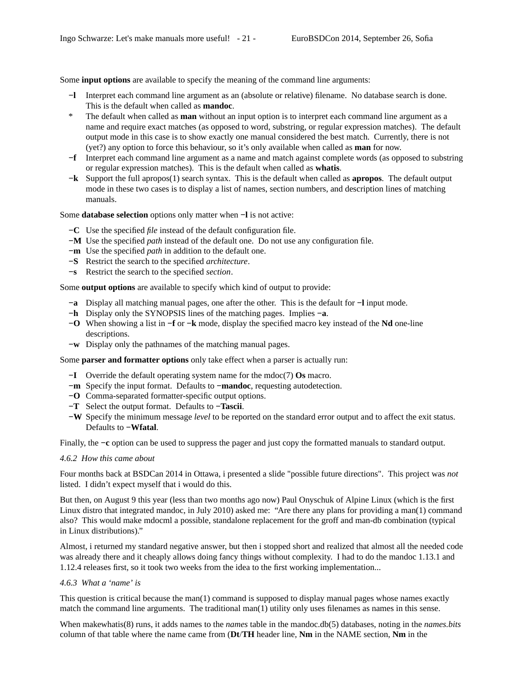Some **input options** are available to specify the meaning of the command line arguments:

- **−l** Interpret each command line argument as an (absolute or relative) filename. No database search is done. This is the default when called as **mandoc**.
- \* The default when called as **man** without an input option is to interpret each command line argument as a name and require exact matches (as opposed to word, substring, or regular expression matches). The default output mode in this case is to show exactly one manual considered the best match. Currently, there is not (yet?) any option to force this behaviour, so it's only available when called as **man** for now.
- **−f** Interpret each command line argument as a name and match against complete words (as opposed to substring or regular expression matches). This is the default when called as **whatis**.
- **−k** Support the full apropos(1) search syntax. This is the default when called as **apropos**. The default output mode in these two cases is to display a list of names, section numbers, and description lines of matching manuals.

Some **database selection** options only matter when **−l** is not active:

- **−C** Use the specified *file* instead of the default configuration file.
- **−M** Use the specified *path* instead of the default one. Do not use any configuration file.
- **−m** Use the specified *path* in addition to the default one.
- **−S** Restrict the search to the specified *architecture*.
- **−s** Restrict the search to the specified *section*.

Some **output options** are available to specify which kind of output to provide:

- **−a** Display all matching manual pages, one after the other. This is the default for **−l** input mode.
- **−h** Display only the SYNOPSIS lines of the matching pages. Implies **−a**.
- **−O** When showing a list in **−f** or **−k** mode, display the specified macro key instead of the **Nd** one-line descriptions.
- **−w** Display only the pathnames of the matching manual pages.

Some **parser and formatter options** only take effect when a parser is actually run:

- **−I** Override the default operating system name for the mdoc(7) **Os** macro.
- **−m** Specify the input format. Defaults to **−mandoc**, requesting autodetection.
- **−O** Comma-separated formatter-specific output options.
- **−T** Select the output format. Defaults to **−Tascii**.
- **−W** Specify the minimum message *level* to be reported on the standard error output and to affect the exit status. Defaults to **−Wfatal**.

Finally, the **−c** option can be used to suppress the pager and just copy the formatted manuals to standard output.

#### *4.6.2 How this came about*

Four months back at BSDCan 2014 in Ottawa, i presented a slide "possible future directions". This project was *not* listed. I didn't expect myself that i would do this.

But then, on August 9 this year (less than two months ago now) Paul Onyschuk of Alpine Linux (which is the first Linux distro that integrated mandoc, in July 2010) asked me: "Are there any plans for providing a man(1) command also? This would make mdocml a possible, standalone replacement for the groff and man-db combination (typical in Linux distributions)."

Almost, i returned my standard negative answer, but then i stopped short and realized that almost all the needed code was already there and it cheaply allows doing fancy things without complexity. I had to do the mandoc 1.13.1 and 1.12.4 releases first, so it took two weeks from the idea to the first working implementation...

# *4.6.3 What a 'name' is*

This question is critical because the man(1) command is supposed to display manual pages whose names exactly match the command line arguments. The traditional man(1) utility only uses filenames as names in this sense.

When makewhatis(8) runs, it adds names to the *names* table in the mandoc.db(5) databases, noting in the *names.bits* column of that table where the name came from (**Dt**/**TH** header line, **Nm** in the NAME section, **Nm** in the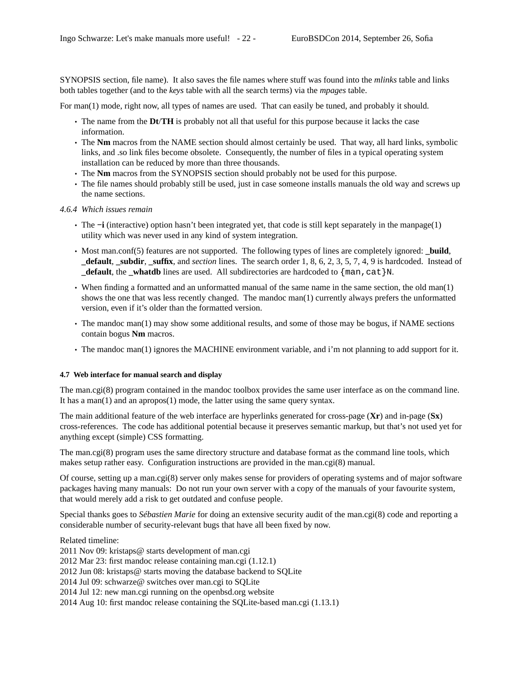SYNOPSIS section, file name). It also saves the file names where stuff was found into the *mlinks* table and links both tables together (and to the *keys* table with all the search terms) via the *mpages* table.

For man(1) mode, right now, all types of names are used. That can easily be tuned, and probably it should.

- The name from the **Dt**/**TH** is probably not all that useful for this purpose because it lacks the case information.
- The **Nm** macros from the NAME section should almost certainly be used. That way, all hard links, symbolic links, and .so link files become obsolete. Consequently, the number of files in a typical operating system installation can be reduced by more than three thousands.
- The **Nm** macros from the SYNOPSIS section should probably not be used for this purpose.
- The file names should probably still be used, just in case someone installs manuals the old way and screws up the name sections.
- *4.6.4 Which issues remain*
	- The **−i** (interactive) option hasn't been integrated yet, that code is still kept separately in the manpage(1) utility which was never used in any kind of system integration.
	- Most man.conf(5) features are not supported. The following types of lines are completely ignored: **\_build**, **\_default**, **\_subdir**, **\_suffix**, and *section* lines. The search order 1, 8, 6, 2, 3, 5, 7, 4, 9 is hardcoded. Instead of **default**, the whatdb lines are used. All subdirectories are hardcoded to  $\{\text{man},\text{cat}\}N$ .
	- When finding a formatted and an unformatted manual of the same name in the same section, the old man(1) shows the one that was less recently changed. The mandoc man(1) currently always prefers the unformatted version, even if it's older than the formatted version.
	- The mandoc man(1) may show some additional results, and some of those may be bogus, if NAME sections contain bogus **Nm** macros.
	- The mandoc man(1) ignores the MACHINE environment variable, and i'm not planning to add support for it.

### **4.7 Web interface for manual search and display**

The man.cgi(8) program contained in the mandoc toolbox provides the same user interface as on the command line. It has a man(1) and an apropos(1) mode, the latter using the same query syntax.

The main additional feature of the web interface are hyperlinks generated for cross-page (**Xr**) and in-page (**Sx**) cross-references. The code has additional potential because it preserves semantic markup, but that's not used yet for anything except (simple) CSS formatting.

The man.cgi(8) program uses the same directory structure and database format as the command line tools, which makes setup rather easy. Configuration instructions are provided in the man.cgi(8) manual.

Of course, setting up a man.cgi(8) server only makes sense for providers of operating systems and of major software packages having many manuals: Do not run your own server with a copy of the manuals of your favourite system, that would merely add a risk to get outdated and confuse people.

Special thanks goes to *Sébastien Marie* for doing an extensive security audit of the man.cgi(8) code and reporting a considerable number of security-relevant bugs that have all been fixed by now.

Related timeline:

2011 Nov 09: kristaps@ starts development of man.cgi 2012 Mar 23: first mandoc release containing man.cgi (1.12.1) 2012 Jun 08: kristaps@ starts moving the database backend to SQLite 2014 Jul 09: schwarze@ switches over man.cgi to SQLite 2014 Jul 12: new man.cgi running on the openbsd.org website 2014 Aug 10: first mandoc release containing the SQLite-based man.cgi (1.13.1)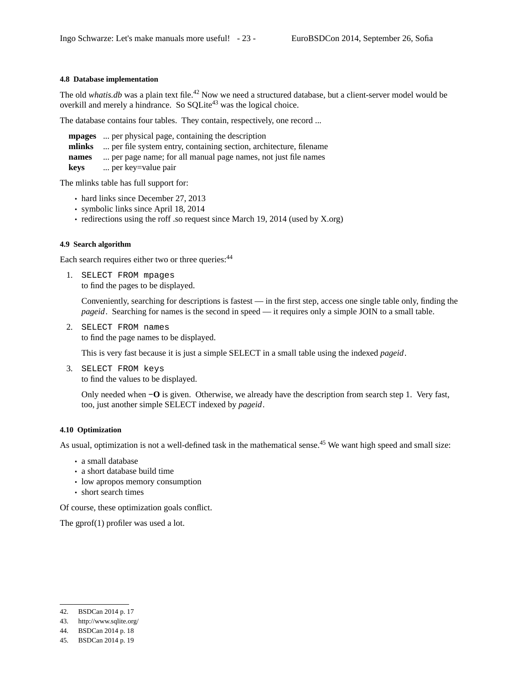## **4.8 Database implementation**

The old *whatis.db* was a plain text file.<sup>42</sup> Now we need a structured database, but a client-server model would be overkill and merely a hindrance. So  $\text{SQLite}^{43}$  was the logical choice.

The database contains four tables. They contain, respectively, one record ...

**mpages** ... per physical page, containing the description **mlinks** ... per file system entry, containing section, architecture, filename **names** ... per page name; for all manual page names, not just file names **keys** ... per key=value pair

The mlinks table has full support for:

- hard links since December 27, 2013
- symbolic links since April 18, 2014
- redirections using the roff .so request since March 19, 2014 (used by X.org)

#### **4.9 Search algorithm**

Each search requires either two or three queries: <sup>44</sup>

1. SELECT FROM mpages to find the pages to be displayed.

> Conveniently, searching for descriptions is fastest — in the first step, access one single table only, finding the *pageid*. Searching for names is the second in speed — it requires only a simple JOIN to a small table.

2. SELECT FROM names to find the page names to be displayed.

This is very fast because it is just a simple SELECT in a small table using the indexed *pageid*.

3. SELECT FROM keys to find the values to be displayed.

> Only needed when **−O** is given. Otherwise, we already have the description from search step 1. Very fast, too, just another simple SELECT indexed by *pageid*.

#### **4.10 Optimization**

As usual, optimization is not a well-defined task in the mathematical sense.<sup>45</sup> We want high speed and small size:

- a small database
- a short database build time
- low apropos memory consumption
- short search times

Of course, these optimization goals conflict.

The gprof(1) profiler was used a lot.

<sup>42.</sup> BSDCan 2014 p. 17

<sup>43.</sup> http://www.sqlite.org/

<sup>44.</sup> BSDCan 2014 p. 18

<sup>45.</sup> BSDCan 2014 p. 19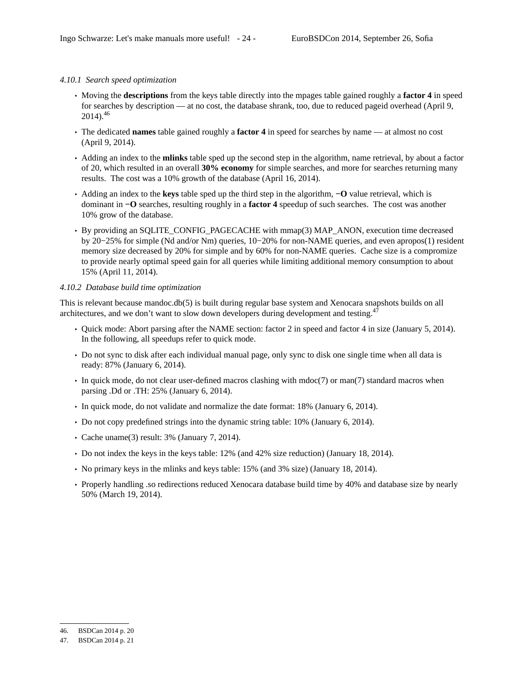# *4.10.1 Search speed optimization*

- Moving the **descriptions** from the keys table directly into the mpages table gained roughly a **factor 4** in speed for searches by description — at no cost, the database shrank, too, due to reduced pageid overhead (April 9,  $2014$ ).<sup>46</sup>
- The dedicated **names** table gained roughly a **factor 4** in speed for searches by name at almost no cost (April 9, 2014).
- Adding an index to the **mlinks** table sped up the second step in the algorithm, name retrieval, by about a factor of 20, which resulted in an overall **30% economy** for simple searches, and more for searches returning many results. The cost was a 10% growth of the database (April 16, 2014).
- Adding an index to the **keys** table sped up the third step in the algorithm, **−O** value retrieval, which is dominant in **−O** searches, resulting roughly in a **factor 4** speedup of such searches. The cost was another 10% grow of the database.
- By providing an SQLITE\_CONFIG\_PAGECACHE with mmap(3) MAP\_ANON, execution time decreased by 20−25% for simple (Nd and/or Nm) queries, 10−20% for non-NAME queries, and even apropos(1) resident memory size decreased by 20% for simple and by 60% for non-NAME queries. Cache size is a compromize to provide nearly optimal speed gain for all queries while limiting additional memory consumption to about 15% (April 11, 2014).

# *4.10.2 Database build time optimization*

This is relevant because mandoc.db(5) is built during regular base system and Xenocara snapshots builds on all architectures, and we don't want to slow down developers during development and testing. $47$ 

- Quick mode: Abort parsing after the NAME section: factor 2 in speed and factor 4 in size (January 5, 2014). In the following, all speedups refer to quick mode.
- Do not sync to disk after each individual manual page, only sync to disk one single time when all data is ready: 87% (January 6, 2014).
- In quick mode, do not clear user-defined macros clashing with mdoc(7) or man(7) standard macros when parsing .Dd or .TH: 25% (January 6, 2014).
- In quick mode, do not validate and normalize the date format: 18% (January 6, 2014).
- Do not copy predefined strings into the dynamic string table: 10% (January 6, 2014).
- Cache uname(3) result: 3% (January 7, 2014).
- Do not index the keys in the keys table: 12% (and 42% size reduction) (January 18, 2014).
- No primary keys in the mlinks and keys table: 15% (and 3% size) (January 18, 2014).
- Properly handling .so redirections reduced Xenocara database build time by 40% and database size by nearly 50% (March 19, 2014).

<sup>46.</sup> BSDCan 2014 p. 20

<sup>47.</sup> BSDCan 2014 p. 21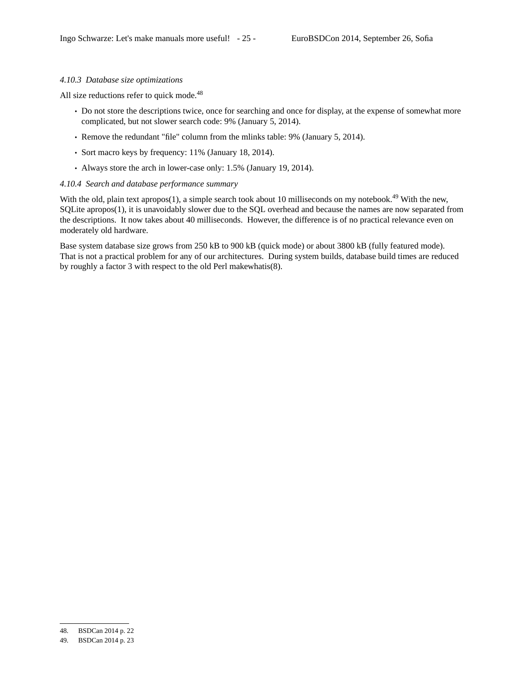# *4.10.3 Database size optimizations*

All size reductions refer to quick mode.<sup>48</sup>

- Do not store the descriptions twice, once for searching and once for display, at the expense of somewhat more complicated, but not slower search code: 9% (January 5, 2014).
- Remove the redundant "file" column from the mlinks table: 9% (January 5, 2014).
- Sort macro keys by frequency: 11% (January 18, 2014).
- Always store the arch in lower-case only: 1.5% (January 19, 2014).

### *4.10.4 Search and database performance summary*

With the old, plain text apropos(1), a simple search took about 10 milliseconds on my notebook.<sup>49</sup> With the new, SQLite apropos(1), it is unavoidably slower due to the SQL overhead and because the names are now separated from the descriptions. It now takes about 40 milliseconds. However, the difference is of no practical relevance even on moderately old hardware.

Base system database size grows from 250 kB to 900 kB (quick mode) or about 3800 kB (fully featured mode). That is not a practical problem for any of our architectures. During system builds, database build times are reduced by roughly a factor 3 with respect to the old Perl makewhatis(8).

<sup>48.</sup> BSDCan 2014 p. 22

<sup>49.</sup> BSDCan 2014 p. 23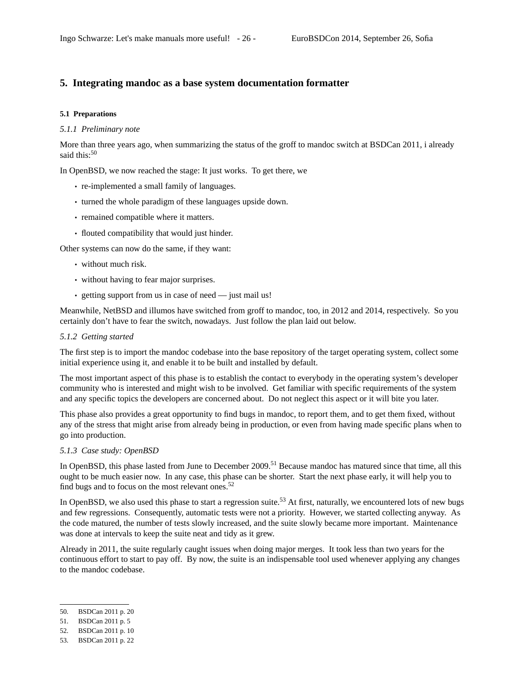# **5. Integrating mandoc as a base system documentation formatter**

# **5.1 Preparations**

#### *5.1.1 Preliminary note*

More than three years ago, when summarizing the status of the groff to mandoc switch at BSDCan 2011, i already said this: $50$ 

In OpenBSD, we now reached the stage: It just works. To get there, we

- re-implemented a small family of languages.
- turned the whole paradigm of these languages upside down.
- remained compatible where it matters.
- flouted compatibility that would just hinder.

Other systems can now do the same, if they want:

- without much risk.
- without having to fear major surprises.
- getting support from us in case of need just mail us!

Meanwhile, NetBSD and illumos have switched from groff to mandoc, too, in 2012 and 2014, respectively. So you certainly don't have to fear the switch, nowadays. Just follow the plan laid out below.

# *5.1.2 Getting started*

The first step is to import the mandoc codebase into the base repository of the target operating system, collect some initial experience using it, and enable it to be built and installed by default.

The most important aspect of this phase is to establish the contact to everybody in the operating system's developer community who is interested and might wish to be involved. Get familiar with specific requirements of the system and any specific topics the developers are concerned about. Do not neglect this aspect or it will bite you later.

This phase also provides a great opportunity to find bugs in mandoc, to report them, and to get them fixed, without any of the stress that might arise from already being in production, or even from having made specific plans when to go into production.

### *5.1.3 Case study: OpenBSD*

In OpenBSD, this phase lasted from June to December 2009.<sup>51</sup> Because mandoc has matured since that time, all this ought to be much easier now. In any case, this phase can be shorter. Start the next phase early, it will help you to find bugs and to focus on the most relevant ones.<sup>52</sup>

In OpenBSD, we also used this phase to start a regression suite.<sup>53</sup> At first, naturally, we encountered lots of new bugs and few regressions. Consequently, automatic tests were not a priority. However, we started collecting anyway. As the code matured, the number of tests slowly increased, and the suite slowly became more important. Maintenance was done at intervals to keep the suite neat and tidy as it grew.

Already in 2011, the suite regularly caught issues when doing major merges. It took less than two years for the continuous effort to start to pay off. By now, the suite is an indispensable tool used whenever applying any changes to the mandoc codebase.

<sup>50.</sup> BSDCan 2011 p. 20

<sup>51.</sup> BSDCan 2011 p. 5

<sup>52.</sup> BSDCan 2011 p. 10

<sup>53.</sup> BSDCan 2011 p. 22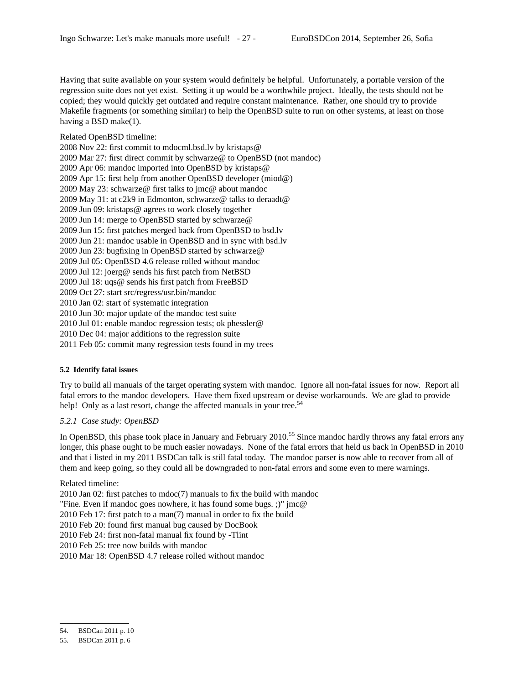Having that suite available on your system would definitely be helpful. Unfortunately, a portable version of the regression suite does not yet exist. Setting it up would be a worthwhile project. Ideally, the tests should not be copied; they would quickly get outdated and require constant maintenance. Rather, one should try to provide Makefile fragments (or something similar) to help the OpenBSD suite to run on other systems, at least on those having a BSD make(1).

Related OpenBSD timeline:

2008 Nov 22: first commit to mdocml.bsd.lv by kristaps@ 2009 Mar 27: first direct commit by schwarze@ to OpenBSD (not mandoc) 2009 Apr 06: mandoc imported into OpenBSD by kristaps@ 2009 Apr 15: first help from another OpenBSD developer (miod@) 2009 May 23: schwarze@ first talks to jmc@ about mandoc 2009 May 31: at c2k9 in Edmonton, schwarze@ talks to deraadt@ 2009 Jun 09: kristaps@ agrees to work closely together 2009 Jun 14: merge to OpenBSD started by schwarze@ 2009 Jun 15: first patches merged back from OpenBSD to bsd.lv 2009 Jun 21: mandoc usable in OpenBSD and in sync with bsd.lv 2009 Jun 23: bugfixing in OpenBSD started by schwarze@ 2009 Jul 05: OpenBSD 4.6 release rolled without mandoc 2009 Jul 12: joerg@ sends his first patch from NetBSD 2009 Jul 18: uqs@ sends his first patch from FreeBSD 2009 Oct 27: start src/regress/usr.bin/mandoc 2010 Jan 02: start of systematic integration 2010 Jun 30: major update of the mandoc test suite 2010 Jul 01: enable mandoc regression tests; ok phessler@ 2010 Dec 04: major additions to the regression suite

2011 Feb 05: commit many regression tests found in my trees

## **5.2 Identify fatal issues**

Try to build all manuals of the target operating system with mandoc. Ignore all non-fatal issues for now. Report all fatal errors to the mandoc developers. Have them fixed upstream or devise workarounds. We are glad to provide help! Only as a last resort, change the affected manuals in your tree.<sup>54</sup>

# *5.2.1 Case study: OpenBSD*

In OpenBSD, this phase took place in January and February 2010.<sup>55</sup> Since mandoc hardly throws any fatal errors any longer, this phase ought to be much easier nowadays. None of the fatal errors that held us back in OpenBSD in 2010 and that i listed in my 2011 BSDCan talk is still fatal today. The mandoc parser is now able to recover from all of them and keep going, so they could all be downgraded to non-fatal errors and some even to mere warnings.

# Related timeline:

2010 Jan 02: first patches to mdoc(7) manuals to fix the build with mandoc

"Fine. Even if mandoc goes nowhere, it has found some bugs. ;)" jmc@

2010 Feb 17: first patch to a man(7) manual in order to fix the build

2010 Feb 20: found first manual bug caused by DocBook

2010 Feb 24: first non-fatal manual fix found by -Tlint

2010 Feb 25: tree now builds with mandoc

2010 Mar 18: OpenBSD 4.7 release rolled without mandoc

<sup>54.</sup> BSDCan 2011 p. 10

<sup>55.</sup> BSDCan 2011 p. 6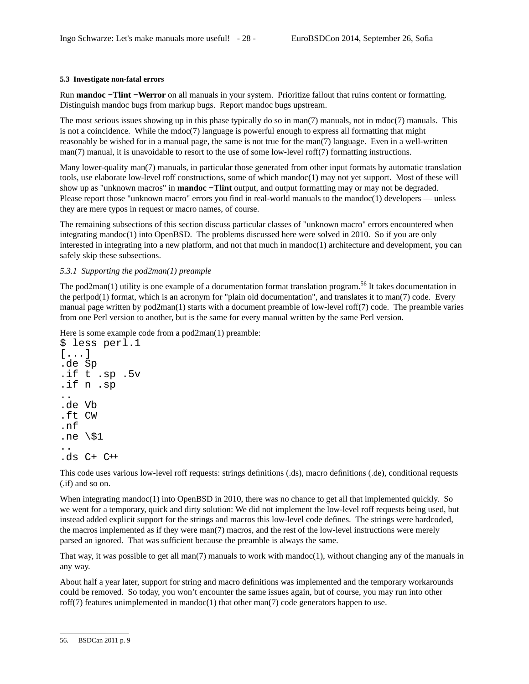# **5.3 Investigate non-fatal errors**

Run **mandoc −Tlint −Werror** on all manuals in your system. Prioritize fallout that ruins content or formatting. Distinguish mandoc bugs from markup bugs. Report mandoc bugs upstream.

The most serious issues showing up in this phase typically do so in man(7) manuals, not in mdoc(7) manuals. This is not a coincidence. While the mdoc(7) language is powerful enough to express all formatting that might reasonably be wished for in a manual page, the same is not true for the man(7) language. Even in a well-written man(7) manual, it is unavoidable to resort to the use of some low-level roff(7) formatting instructions.

Many lower-quality man(7) manuals, in particular those generated from other input formats by automatic translation tools, use elaborate low-level roff constructions, some of which mandoc(1) may not yet support. Most of these will show up as "unknown macros" in **mandoc −Tlint** output, and output formatting may or may not be degraded. Please report those "unknown macro" errors you find in real-world manuals to the mandoc(1) developers — unless they are mere typos in request or macro names, of course.

The remaining subsections of this section discuss particular classes of "unknown macro" errors encountered when integrating mandoc(1) into OpenBSD. The problems discussed here were solved in 2010. So if you are only interested in integrating into a new platform, and not that much in mandoc(1) architecture and development, you can safely skip these subsections.

# *5.3.1 Supporting the pod2man(1) preample*

The pod2man(1) utility is one example of a documentation format translation program.<sup>56</sup> It takes documentation in the perlpod(1) format, which is an acronym for "plain old documentation", and translates it to man(7) code. Every manual page written by pod2man(1) starts with a document preamble of low-level roff(7) code. The preamble varies from one Perl version to another, but is the same for every manual written by the same Perl version.

Here is some example code from a pod2man(1) preamble:

```
$ less perl.1
[...]
.de Sp
.if t .sp .5v
.if n .sp
..
.de Vb
.ft CW
.nf
.ne \setminus$1
..
.ds C+ C++
```
This code uses various low-level roff requests: strings definitions (.ds), macro definitions (.de), conditional requests (.if) and so on.

When integrating mandoc(1) into OpenBSD in 2010, there was no chance to get all that implemented quickly. So we went for a temporary, quick and dirty solution: We did not implement the low-level roff requests being used, but instead added explicit support for the strings and macros this low-level code defines. The strings were hardcoded, the macros implemented as if they were man(7) macros, and the rest of the low-level instructions were merely parsed an ignored. That was sufficient because the preamble is always the same.

That way, it was possible to get all man $(7)$  manuals to work with mandoc $(1)$ , without changing any of the manuals in any way.

About half a year later, support for string and macro definitions was implemented and the temporary workarounds could be removed. So today, you won't encounter the same issues again, but of course, you may run into other roff(7) features unimplemented in mandoc(1) that other man(7) code generators happen to use.

<sup>56.</sup> BSDCan 2011 p. 9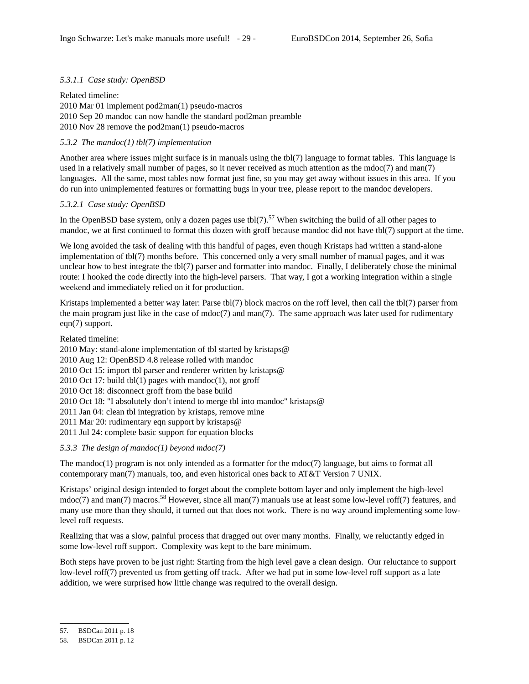# *5.3.1.1 Case study: OpenBSD*

Related timeline: 2010 Mar 01 implement pod2man(1) pseudo-macros 2010 Sep 20 mandoc can now handle the standard pod2man preamble 2010 Nov 28 remove the pod2man(1) pseudo-macros

# *5.3.2 The mandoc(1) tbl(7) implementation*

Another area where issues might surface is in manuals using the tbl(7) language to format tables. This language is used in a relatively small number of pages, so it never received as much attention as the mdoc(7) and man(7) languages. All the same, most tables now format just fine, so you may get away without issues in this area. If you do run into unimplemented features or formatting bugs in your tree, please report to the mandoc developers.

# *5.3.2.1 Case study: OpenBSD*

In the OpenBSD base system, only a dozen pages use tbl(7).<sup>57</sup> When switching the build of all other pages to mandoc, we at first continued to format this dozen with groff because mandoc did not have tbl(7) support at the time.

We long avoided the task of dealing with this handful of pages, even though Kristaps had written a stand-alone implementation of tbl(7) months before. This concerned only a very small number of manual pages, and it was unclear how to best integrate the tbl(7) parser and formatter into mandoc. Finally, I deliberately chose the minimal route: I hooked the code directly into the high-level parsers. That way, I got a working integration within a single weekend and immediately relied on it for production.

Kristaps implemented a better way later: Parse tbl(7) block macros on the roff level, then call the tbl(7) parser from the main program just like in the case of mdoc(7) and man(7). The same approach was later used for rudimentary eqn(7) support.

Related timeline:

2010 May: stand-alone implementation of tbl started by kristaps@ 2010 Aug 12: OpenBSD 4.8 release rolled with mandoc 2010 Oct 15: import tbl parser and renderer written by kristaps@  $2010$  Oct 17: build tbl $(1)$  pages with mandoc $(1)$ , not groff 2010 Oct 18: disconnect groff from the base build 2010 Oct 18: "I absolutely don't intend to merge tbl into mandoc" kristaps@ 2011 Jan 04: clean tbl integration by kristaps, remove mine 2011 Mar 20: rudimentary eqn support by kristaps@ 2011 Jul 24: complete basic support for equation blocks

*5.3.3 The design of mandoc(1) beyond mdoc(7)*

The mandoc(1) program is not only intended as a formatter for the  $\text{mdoc}(7)$  language, but aims to format all contemporary man(7) manuals, too, and even historical ones back to AT&T Version 7 UNIX.

Kristaps' original design intended to forget about the complete bottom layer and only implement the high-level mdoc(7) and man(7) macros.<sup>58</sup> However, since all man(7) manuals use at least some low-level roff(7) features, and many use more than they should, it turned out that does not work. There is no way around implementing some lowlevel roff requests.

Realizing that was a slow, painful process that dragged out over many months. Finally, we reluctantly edged in some low-level roff support. Complexity was kept to the bare minimum.

Both steps have proven to be just right: Starting from the high level gave a clean design. Our reluctance to support low-level roff(7) prevented us from getting off track. After we had put in some low-level roff support as a late addition, we were surprised how little change was required to the overall design.

<sup>57.</sup> BSDCan 2011 p. 18

<sup>58.</sup> BSDCan 2011 p. 12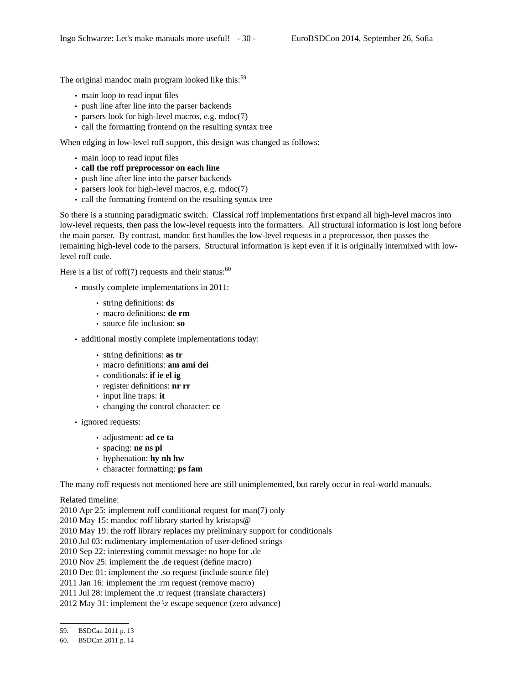The original mandoc main program looked like this:<sup>59</sup>

- main loop to read input files
- push line after line into the parser backends
- parsers look for high-level macros, e.g. mdoc(7)
- call the formatting frontend on the resulting syntax tree

When edging in low-level roff support, this design was changed as follows:

- main loop to read input files
- **call the roff preprocessor on each line**
- push line after line into the parser backends
- parsers look for high-level macros, e.g. mdoc(7)
- call the formatting frontend on the resulting syntax tree

So there is a stunning paradigmatic switch. Classical roff implementations first expand all high-level macros into low-level requests, then pass the low-level requests into the formatters. All structural information is lost long before the main parser. By contrast, mandoc first handles the low-level requests in a preprocessor, then passes the remaining high-level code to the parsers. Structural information is kept even if it is originally intermixed with lowlevel roff code.

Here is a list of roff(7) requests and their status:  $60$ 

- mostly complete implementations in 2011:
	- string definitions: **ds**
	- macro definitions: **de rm**
	- source file inclusion: **so**

• additional mostly complete implementations today:

- string definitions: **as tr**
- macro definitions: **am ami dei**
- conditionals: **if ie el ig**
- register definitions: **nr rr**
- input line traps: **it**
	- changing the control character: **cc**
- ignored requests:
	- adjustment: **ad ce ta**
	- spacing: **ne ns pl**
	- hyphenation: **hy nh hw**
	- character formatting: **ps fam**

The many roff requests not mentioned here are still unimplemented, but rarely occur in real-world manuals.

Related timeline:

2010 Apr 25: implement roff conditional request for man(7) only

2010 May 15: mandoc roff library started by kristaps@

2010 May 19: the roff library replaces my preliminary support for conditionals

2010 Jul 03: rudimentary implementation of user-defined strings

2010 Sep 22: interesting commit message: no hope for .de

2010 Nov 25: implement the .de request (define macro)

2010 Dec 01: implement the .so request (include source file)

2011 Jan 16: implement the .rm request (remove macro)

2011 Jul 28: implement the .tr request (translate characters)

2012 May 31: implement the \z escape sequence (zero advance)

<sup>59.</sup> BSDCan 2011 p. 13

<sup>60.</sup> BSDCan 2011 p. 14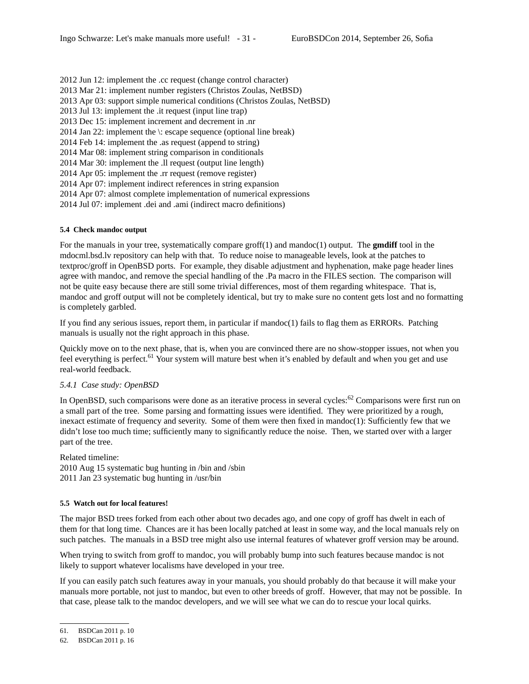2012 Jun 12: implement the .cc request (change control character) 2013 Mar 21: implement number registers (Christos Zoulas, NetBSD) 2013 Apr 03: support simple numerical conditions (Christos Zoulas, NetBSD) 2013 Jul 13: implement the .it request (input line trap) 2013 Dec 15: implement increment and decrement in .nr 2014 Jan 22: implement the \: escape sequence (optional line break) 2014 Feb 14: implement the .as request (append to string) 2014 Mar 08: implement string comparison in conditionals 2014 Mar 30: implement the .ll request (output line length) 2014 Apr 05: implement the .rr request (remove register) 2014 Apr 07: implement indirect references in string expansion 2014 Apr 07: almost complete implementation of numerical expressions 2014 Jul 07: implement .dei and .ami (indirect macro definitions)

## **5.4 Check mandoc output**

For the manuals in your tree, systematically compare groff(1) and mandoc(1) output. The **gmdiff** tool in the mdocml.bsd.lv repository can help with that. To reduce noise to manageable levels, look at the patches to textproc/groff in OpenBSD ports. For example, they disable adjustment and hyphenation, make page header lines agree with mandoc, and remove the special handling of the .Pa macro in the FILES section. The comparison will not be quite easy because there are still some trivial differences, most of them regarding whitespace. That is, mandoc and groff output will not be completely identical, but try to make sure no content gets lost and no formatting is completely garbled.

If you find any serious issues, report them, in particular if mandoc(1) fails to flag them as ERRORs. Patching manuals is usually not the right approach in this phase.

Quickly move on to the next phase, that is, when you are convinced there are no show-stopper issues, not when you feel everything is perfect.<sup>61</sup> Your system will mature best when it's enabled by default and when you get and use real-world feedback.

### *5.4.1 Case study: OpenBSD*

In OpenBSD, such comparisons were done as an iterative process in several cycles:<sup>62</sup> Comparisons were first run on a small part of the tree. Some parsing and formatting issues were identified. They were prioritized by a rough, inexact estimate of frequency and severity. Some of them were then fixed in mandoc(1): Sufficiently few that we didn't lose too much time; sufficiently many to significantly reduce the noise. Then, we started over with a larger part of the tree.

Related timeline:

2010 Aug 15 systematic bug hunting in /bin and /sbin 2011 Jan 23 systematic bug hunting in /usr/bin

#### **5.5 Watch out for local features!**

The major BSD trees forked from each other about two decades ago, and one copy of groff has dwelt in each of them for that long time. Chances are it has been locally patched at least in some way, and the local manuals rely on such patches. The manuals in a BSD tree might also use internal features of whatever groff version may be around.

When trying to switch from groff to mandoc, you will probably bump into such features because mandoc is not likely to support whatever localisms have developed in your tree.

If you can easily patch such features away in your manuals, you should probably do that because it will make your manuals more portable, not just to mandoc, but even to other breeds of groff. However, that may not be possible. In that case, please talk to the mandoc developers, and we will see what we can do to rescue your local quirks.

<sup>61.</sup> BSDCan 2011 p. 10

<sup>62.</sup> BSDCan 2011 p. 16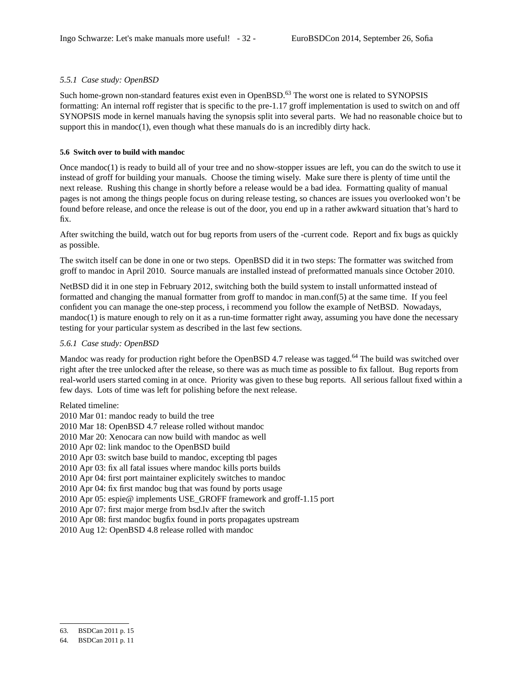# *5.5.1 Case study: OpenBSD*

Such home-grown non-standard features exist even in OpenBSD.<sup>63</sup> The worst one is related to SYNOPSIS formatting: An internal roff register that is specific to the pre-1.17 groff implementation is used to switch on and off SYNOPSIS mode in kernel manuals having the synopsis split into several parts. We had no reasonable choice but to support this in mandoc(1), even though what these manuals do is an incredibly dirty hack.

### **5.6 Switch over to build with mandoc**

Once mandoc(1) is ready to build all of your tree and no show-stopper issues are left, you can do the switch to use it instead of groff for building your manuals. Choose the timing wisely. Make sure there is plenty of time until the next release. Rushing this change in shortly before a release would be a bad idea. Formatting quality of manual pages is not among the things people focus on during release testing, so chances are issues you overlooked won't be found before release, and once the release is out of the door, you end up in a rather awkward situation that's hard to fix.

After switching the build, watch out for bug reports from users of the -current code. Report and fix bugs as quickly as possible.

The switch itself can be done in one or two steps. OpenBSD did it in two steps: The formatter was switched from groff to mandoc in April 2010. Source manuals are installed instead of preformatted manuals since October 2010.

NetBSD did it in one step in February 2012, switching both the build system to install unformatted instead of formatted and changing the manual formatter from groff to mandoc in man.conf(5) at the same time. If you feel confident you can manage the one-step process, i recommend you follow the example of NetBSD. Nowadays,  $m$ andoc $(1)$  is mature enough to rely on it as a run-time formatter right away, assuming you have done the necessary testing for your particular system as described in the last few sections.

### *5.6.1 Case study: OpenBSD*

Mandoc was ready for production right before the OpenBSD 4.7 release was tagged.<sup>64</sup> The build was switched over right after the tree unlocked after the release, so there was as much time as possible to fix fallout. Bug reports from real-world users started coming in at once. Priority was given to these bug reports. All serious fallout fixed within a few days. Lots of time was left for polishing before the next release.

Related timeline:

2010 Mar 01: mandoc ready to build the tree 2010 Mar 18: OpenBSD 4.7 release rolled without mandoc 2010 Mar 20: Xenocara can now build with mandoc as well 2010 Apr 02: link mandoc to the OpenBSD build 2010 Apr 03: switch base build to mandoc, excepting tbl pages 2010 Apr 03: fix all fatal issues where mandoc kills ports builds 2010 Apr 04: first port maintainer explicitely switches to mandoc 2010 Apr 04: fix first mandoc bug that was found by ports usage 2010 Apr 05: espie@ implements USE\_GROFF framework and groff-1.15 port 2010 Apr 07: first major merge from bsd.lv after the switch 2010 Apr 08: first mandoc bugfix found in ports propagates upstream 2010 Aug 12: OpenBSD 4.8 release rolled with mandoc

<sup>63.</sup> BSDCan 2011 p. 15

<sup>64.</sup> BSDCan 2011 p. 11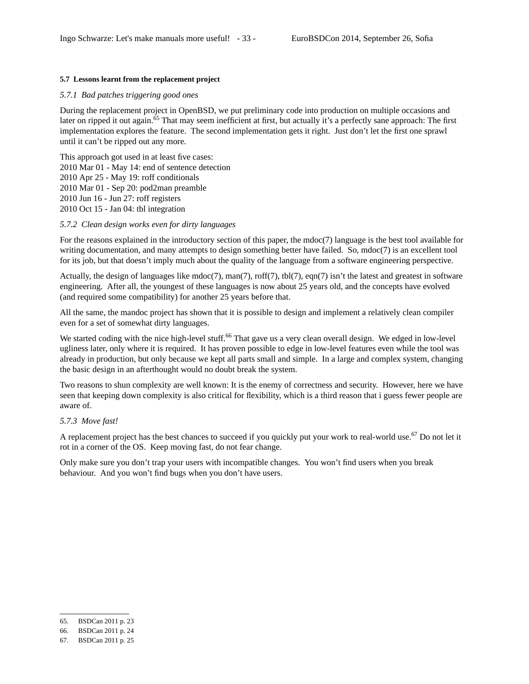# **5.7 Lessons learnt from the replacement project**

# *5.7.1 Bad patches triggering good ones*

During the replacement project in OpenBSD, we put preliminary code into production on multiple occasions and later on ripped it out again.<sup>65</sup> That may seem inefficient at first, but actually it's a perfectly sane approach: The first implementation explores the feature. The second implementation gets it right. Just don't let the first one sprawl until it can't be ripped out any more.

This approach got used in at least five cases: 2010 Mar 01 - May 14: end of sentence detection 2010 Apr 25 - May 19: roff conditionals 2010 Mar 01 - Sep 20: pod2man preamble 2010 Jun 16 - Jun 27: roff registers 2010 Oct 15 - Jan 04: tbl integration

### *5.7.2 Clean design works even for dirty languages*

For the reasons explained in the introductory section of this paper, the mdoc(7) language is the best tool available for writing documentation, and many attempts to design something better have failed. So, mdoc(7) is an excellent tool for its job, but that doesn't imply much about the quality of the language from a software engineering perspective.

Actually, the design of languages like mdoc(7), man(7), roff(7), tbl(7), eqn(7) isn't the latest and greatest in software engineering. After all, the youngest of these languages is now about 25 years old, and the concepts have evolved (and required some compatibility) for another 25 years before that.

All the same, the mandoc project has shown that it is possible to design and implement a relatively clean compiler even for a set of somewhat dirty languages.

We started coding with the nice high-level stuff.<sup>66</sup> That gave us a very clean overall design. We edged in low-level ugliness later, only where it is required. It has proven possible to edge in low-level features even while the tool was already in production, but only because we kept all parts small and simple. In a large and complex system, changing the basic design in an afterthought would no doubt break the system.

Two reasons to shun complexity are well known: It is the enemy of correctness and security. However, here we have seen that keeping down complexity is also critical for flexibility, which is a third reason that i guess fewer people are aware of.

## *5.7.3 Move fast!*

A replacement project has the best chances to succeed if you quickly put your work to real-world use.<sup>67</sup> Do not let it rot in a corner of the OS. Keep moving fast, do not fear change.

Only make sure you don't trap your users with incompatible changes. You won't find users when you break behaviour. And you won't find bugs when you don't have users.

<sup>65.</sup> BSDCan 2011 p. 23

<sup>66.</sup> BSDCan 2011 p. 24

<sup>67.</sup> BSDCan 2011 p. 25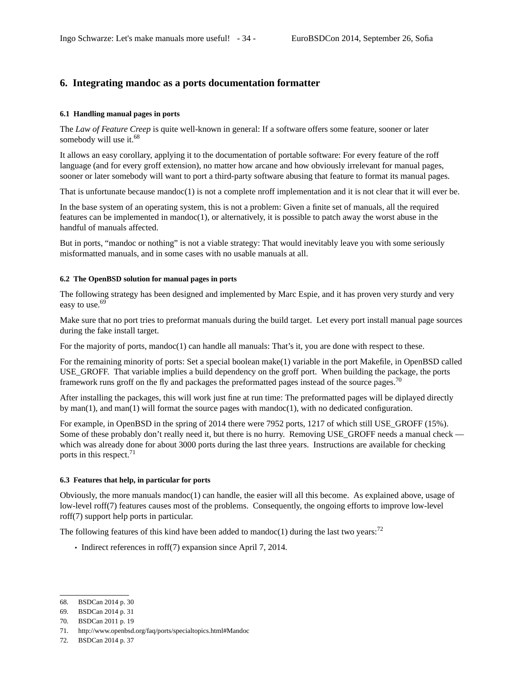# **6. Integrating mandoc as a ports documentation formatter**

# **6.1 Handling manual pages in ports**

The *Law of Feature Creep* is quite well-known in general: If a software offers some feature, sooner or later somebody will use it.<sup>68</sup>

It allows an easy corollary, applying it to the documentation of portable software: For every feature of the roff language (and for every groff extension), no matter how arcane and how obviously irrelevant for manual pages, sooner or later somebody will want to port a third-party software abusing that feature to format its manual pages.

That is unfortunate because mandoc $(1)$  is not a complete nroff implementation and it is not clear that it will ever be.

In the base system of an operating system, this is not a problem: Given a finite set of manuals, all the required features can be implemented in mandoc $(1)$ , or alternatively, it is possible to patch away the worst abuse in the handful of manuals affected.

But in ports, "mandoc or nothing" is not a viable strategy: That would inevitably leave you with some seriously misformatted manuals, and in some cases with no usable manuals at all.

### **6.2 The OpenBSD solution for manual pages in ports**

The following strategy has been designed and implemented by Marc Espie, and it has proven very sturdy and very easy to use.<sup>69</sup>

Make sure that no port tries to preformat manuals during the build target. Let every port install manual page sources during the fake install target.

For the majority of ports, mandoc(1) can handle all manuals: That's it, you are done with respect to these.

For the remaining minority of ports: Set a special boolean make(1) variable in the port Makefile, in OpenBSD called USE\_GROFF. That variable implies a build dependency on the groff port. When building the package, the ports framework runs groff on the fly and packages the preformatted pages instead of the source pages.<sup>70</sup>

After installing the packages, this will work just fine at run time: The preformatted pages will be diplayed directly by man(1), and man(1) will format the source pages with mandoc(1), with no dedicated configuration.

For example, in OpenBSD in the spring of 2014 there were 7952 ports, 1217 of which still USE\_GROFF (15%). Some of these probably don't really need it, but there is no hurry. Removing USE\_GROFF needs a manual check which was already done for about 3000 ports during the last three years. Instructions are available for checking ports in this respect.<sup>71</sup>

#### **6.3 Features that help, in particular for ports**

Obviously, the more manuals mandoc(1) can handle, the easier will all this become. As explained above, usage of low-level roff(7) features causes most of the problems. Consequently, the ongoing efforts to improve low-level roff(7) support help ports in particular.

The following features of this kind have been added to mandoc(1) during the last two years:<sup>72</sup>

• Indirect references in roff(7) expansion since April 7, 2014.

<sup>68.</sup> BSDCan 2014 p. 30

<sup>69.</sup> BSDCan 2014 p. 31

<sup>70.</sup> BSDCan 2011 p. 19

<sup>71.</sup> http://www.openbsd.org/faq/ports/specialtopics.html#Mandoc

<sup>72.</sup> BSDCan 2014 p. 37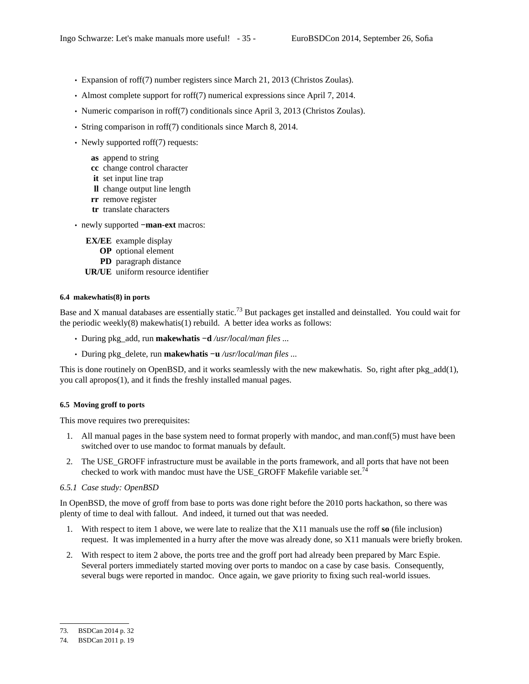- Expansion of roff(7) number registers since March 21, 2013 (Christos Zoulas).
- Almost complete support for roff(7) numerical expressions since April 7, 2014.
- Numeric comparison in roff(7) conditionals since April 3, 2013 (Christos Zoulas).
- String comparison in roff(7) conditionals since March 8, 2014.
- Newly supported roff(7) requests:
	- **as** append to string
	- **cc** change control character
	- **it** set input line trap
	- **ll** change output line length
	- **rr** remove register
	- **tr** translate characters
- newly supported **−man-ext** macros:
	- **EX/EE** example display
		- **OP** optional element
		- **PD** paragraph distance
	- **UR/UE** uniform resource identifier

# **6.4 makewhatis(8) in ports**

Base and X manual databases are essentially static.<sup>73</sup> But packages get installed and deinstalled. You could wait for the periodic weekly(8) makewhatis(1) rebuild. A better idea works as follows:

- During pkg\_add, run **makewhatis −d** */usr/local/man files ...*
- During pkg\_delete, run **makewhatis −u** */usr/local/man files ...*

This is done routinely on OpenBSD, and it works seamlessly with the new makewhatis. So, right after pkg\_add(1), you call apropos(1), and it finds the freshly installed manual pages.

# **6.5 Moving groff to ports**

This move requires two prerequisites:

- 1. All manual pages in the base system need to format properly with mandoc, and man.conf(5) must have been switched over to use mandoc to format manuals by default.
- 2. The USE\_GROFF infrastructure must be available in the ports framework, and all ports that have not been checked to work with mandoc must have the USE\_GROFF Makefile variable set.<sup>74</sup>

# *6.5.1 Case study: OpenBSD*

In OpenBSD, the move of groff from base to ports was done right before the 2010 ports hackathon, so there was plenty of time to deal with fallout. And indeed, it turned out that was needed.

- 1. With respect to item 1 above, we were late to realize that the X11 manuals use the roff **so** (file inclusion) request. It was implemented in a hurry after the move was already done, so X11 manuals were briefly broken.
- 2. With respect to item 2 above, the ports tree and the groff port had already been prepared by Marc Espie. Several porters immediately started moving over ports to mandoc on a case by case basis. Consequently, several bugs were reported in mandoc. Once again, we gave priority to fixing such real-world issues.

<sup>73.</sup> BSDCan 2014 p. 32

<sup>74.</sup> BSDCan 2011 p. 19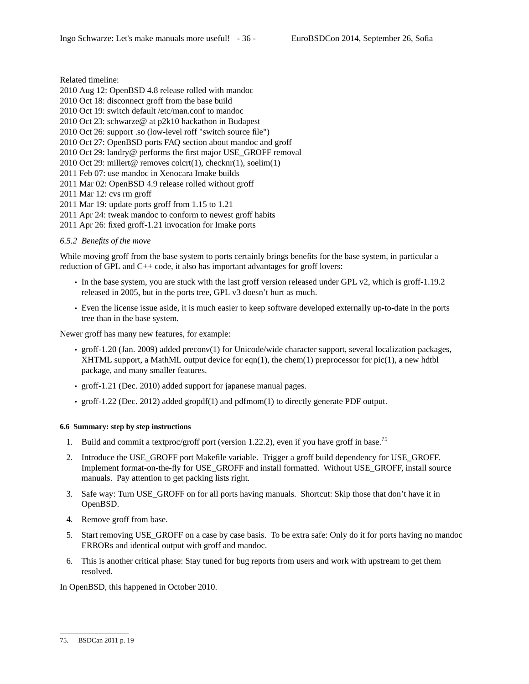Related timeline:

2010 Aug 12: OpenBSD 4.8 release rolled with mandoc 2010 Oct 18: disconnect groff from the base build 2010 Oct 19: switch default /etc/man.conf to mandoc 2010 Oct 23: schwarze@ at p2k10 hackathon in Budapest 2010 Oct 26: support .so (low-level roff "switch source file") 2010 Oct 27: OpenBSD ports FAQ section about mandoc and groff 2010 Oct 29: landry@ performs the first major USE\_GROFF removal 2010 Oct 29: millert@ removes colcrt(1), checknr(1), soelim(1) 2011 Feb 07: use mandoc in Xenocara Imake builds 2011 Mar 02: OpenBSD 4.9 release rolled without groff

2011 Mar 12: cvs rm groff

2011 Mar 19: update ports groff from 1.15 to 1.21

2011 Apr 24: tweak mandoc to conform to newest groff habits

2011 Apr 26: fixed groff-1.21 invocation for Imake ports

*6.5.2 Benefits of the move*

While moving groff from the base system to ports certainly brings benefits for the base system, in particular a reduction of GPL and C++ code, it also has important advantages for groff lovers:

- In the base system, you are stuck with the last groff version released under GPL v2, which is groff-1.19.2 released in 2005, but in the ports tree, GPL v3 doesn't hurt as much.
- Even the license issue aside, it is much easier to keep software developed externally up-to-date in the ports tree than in the base system.

Newer groff has many new features, for example:

- groff-1.20 (Jan. 2009) added preconv(1) for Unicode/wide character support, several localization packages, XHTML support, a MathML output device for eqn(1), the chem(1) preprocessor for pic(1), a new hdtbl package, and many smaller features.
- groff-1.21 (Dec. 2010) added support for japanese manual pages.
- groff-1.22 (Dec. 2012) added gropdf(1) and pdfmom(1) to directly generate PDF output.

### **6.6 Summary: step by step instructions**

- 1. Build and commit a textproc/groff port (version 1.22.2), even if you have groff in base.<sup>75</sup>
- 2. Introduce the USE\_GROFF port Makefile variable. Trigger a groff build dependency for USE\_GROFF. Implement format-on-the-fly for USE\_GROFF and install formatted. Without USE\_GROFF, install source manuals. Pay attention to get packing lists right.
- 3. Safe way: Turn USE\_GROFF on for all ports having manuals. Shortcut: Skip those that don't have it in OpenBSD.
- 4. Remove groff from base.
- 5. Start removing USE\_GROFF on a case by case basis. To be extra safe: Only do it for ports having no mandoc ERRORs and identical output with groff and mandoc.
- 6. This is another critical phase: Stay tuned for bug reports from users and work with upstream to get them resolved.

In OpenBSD, this happened in October 2010.

<sup>75.</sup> BSDCan 2011 p. 19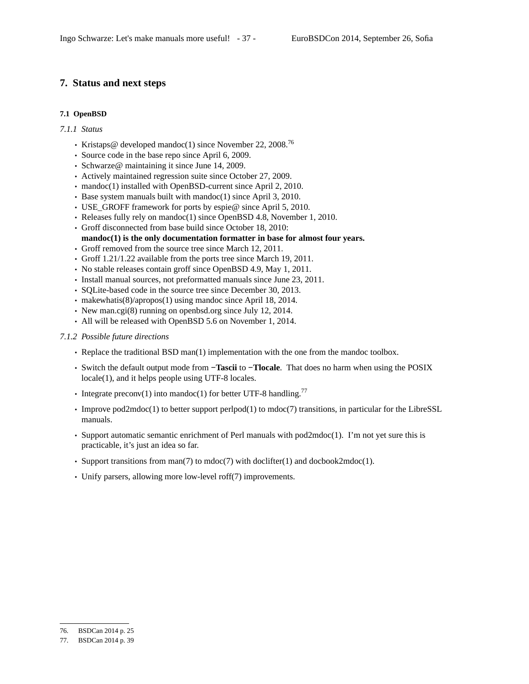# **7. Status and next steps**

# **7.1 OpenBSD**

#### *7.1.1 Status*

- Kristaps@ developed mandoc(1) since November 22, 2008.<sup>76</sup>
- Source code in the base repo since April 6, 2009.
- Schwarze@ maintaining it since June 14, 2009.
- Actively maintained regression suite since October 27, 2009.
- mandoc(1) installed with OpenBSD-current since April 2, 2010.
- Base system manuals built with mandoc(1) since April 3, 2010.
- USE\_GROFF framework for ports by espie@ since April 5, 2010.
- Releases fully rely on mandoc(1) since OpenBSD 4.8, November 1, 2010.
- Groff disconnected from base build since October 18, 2010: **mandoc(1) is the only documentation formatter in base for almost four years.**
- Groff removed from the source tree since March 12, 2011.
- Groff 1.21/1.22 available from the ports tree since March 19, 2011.
- No stable releases contain groff since OpenBSD 4.9, May 1, 2011.
- Install manual sources, not preformatted manuals since June 23, 2011.
- SQLite-based code in the source tree since December 30, 2013.
- makewhatis(8)/apropos(1) using mandoc since April 18, 2014.
- New man.cgi(8) running on openbsd.org since July 12, 2014.
- All will be released with OpenBSD 5.6 on November 1, 2014.
- *7.1.2 Possible future directions*
	- Replace the traditional BSD man(1) implementation with the one from the mandoc toolbox.
	- Switch the default output mode from **−Tascii** to **−Tlocale**. That does no harm when using the POSIX locale(1), and it helps people using UTF-8 locales.
	- Integrate preconv(1) into mandoc(1) for better UTF-8 handling.<sup>77</sup>
	- Improve pod2mdoc(1) to better support perlpod(1) to mdoc(7) transitions, in particular for the LibreSSL manuals.
	- Support automatic semantic enrichment of Perl manuals with pod2mdoc(1). I'm not yet sure this is practicable, it's just an idea so far.
	- Support transitions from man(7) to mdoc(7) with doclifter(1) and docbook2mdoc(1).
	- Unify parsers, allowing more low-level roff(7) improvements.

<sup>76.</sup> BSDCan 2014 p. 25

<sup>77.</sup> BSDCan 2014 p. 39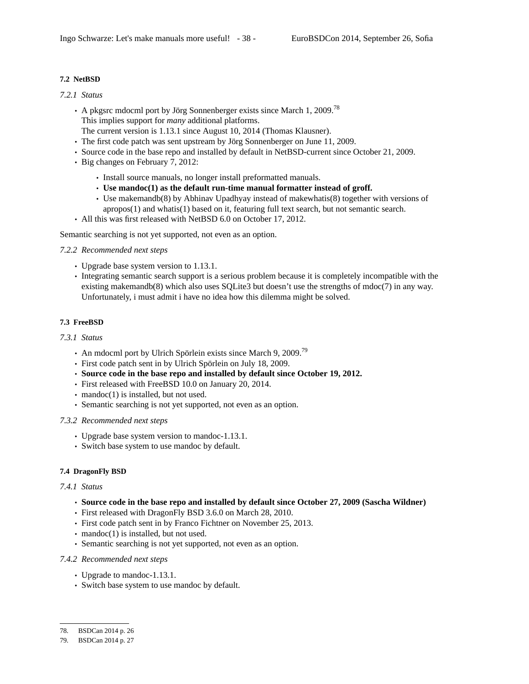# **7.2 NetBSD**

# *7.2.1 Status*

- A pkgsrc mdocml port by Jörg Sonnenberger exists since March 1, 2009.<sup>78</sup> This implies support for *many* additional platforms.
- The current version is 1.13.1 since August 10, 2014 (Thomas Klausner). • The first code patch was sent upstream by Jörg Sonnenberger on June 11, 2009.
- Source code in the base repo and installed by default in NetBSD-current since October 21, 2009.
- Big changes on February 7, 2012:
	- Install source manuals, no longer install preformatted manuals.
	- **Use mandoc(1) as the default run-time manual formatter instead of groff.**
	- Use makemandb(8) by Abhinav Upadhyay instead of makewhatis(8) together with versions of apropos(1) and whatis(1) based on it, featuring full text search, but not semantic search.
- All this was first released with NetBSD 6.0 on October 17, 2012.

Semantic searching is not yet supported, not even as an option.

# *7.2.2 Recommended next steps*

- Upgrade base system version to 1.13.1.
- Integrating semantic search support is a serious problem because it is completely incompatible with the existing makemandb(8) which also uses SQLite3 but doesn't use the strengths of mdoc(7) in any way. Unfortunately, i must admit i have no idea how this dilemma might be solved.

# **7.3 FreeBSD**

# *7.3.1 Status*

- An mdocml port by Ulrich Spörlein exists since March 9, 2009.<sup>79</sup>
- First code patch sent in by Ulrich Spörlein on July 18, 2009.
- **Source code in the base repo and installed by default since October 19, 2012.**
- First released with FreeBSD 10.0 on January 20, 2014.
- mandoc(1) is installed, but not used.
- Semantic searching is not yet supported, not even as an option.

# *7.3.2 Recommended next steps*

- Upgrade base system version to mandoc-1.13.1.
- Switch base system to use mandoc by default.

# **7.4 DragonFly BSD**

#### *7.4.1 Status*

- **Source code in the base repo and installed by default since October 27, 2009 (Sascha Wildner)**
- First released with DragonFly BSD 3.6.0 on March 28, 2010.
- First code patch sent in by Franco Fichtner on November 25, 2013.
- mandoc(1) is installed, but not used.
- Semantic searching is not yet supported, not even as an option.

#### *7.4.2 Recommended next steps*

- Upgrade to mandoc-1.13.1.
- Switch base system to use mandoc by default.

<sup>78.</sup> BSDCan 2014 p. 26

<sup>79.</sup> BSDCan 2014 p. 27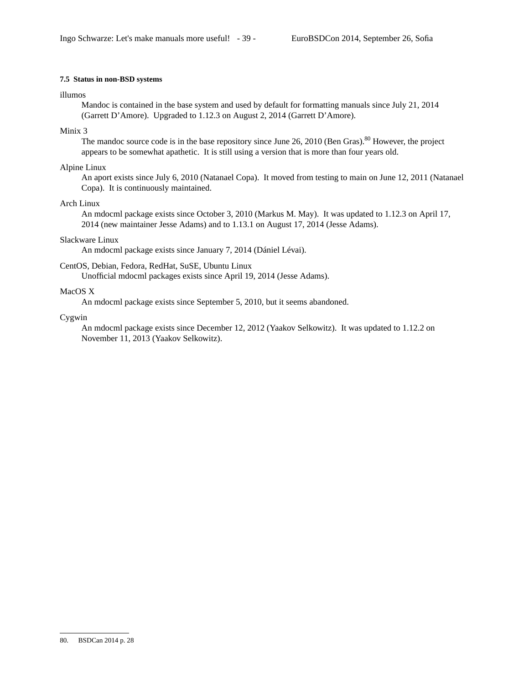# **7.5 Status in non-BSD systems**

### illumos

Mandoc is contained in the base system and used by default for formatting manuals since July 21, 2014 (Garrett D'Amore). Upgraded to 1.12.3 on August 2, 2014 (Garrett D'Amore).

# Minix 3

The mandoc source code is in the base repository since June 26, 2010 (Ben Gras).<sup>80</sup> However, the project appears to be somewhat apathetic. It is still using a version that is more than four years old.

# Alpine Linux

An aport exists since July 6, 2010 (Natanael Copa). It moved from testing to main on June 12, 2011 (Natanael Copa). It is continuously maintained.

# Arch Linux

An mdocml package exists since October 3, 2010 (Markus M. May). It was updated to 1.12.3 on April 17, 2014 (new maintainer Jesse Adams) and to 1.13.1 on August 17, 2014 (Jesse Adams).

## Slackware Linux

An mdocml package exists since January 7, 2014 (Dániel Lévai).

## CentOS, Debian, Fedora, RedHat, SuSE, Ubuntu Linux

Unofficial mdocml packages exists since April 19, 2014 (Jesse Adams).

# MacOS X

An mdocml package exists since September 5, 2010, but it seems abandoned.

## Cygwin

An mdocml package exists since December 12, 2012 (Yaakov Selkowitz). It was updated to 1.12.2 on November 11, 2013 (Yaakov Selkowitz).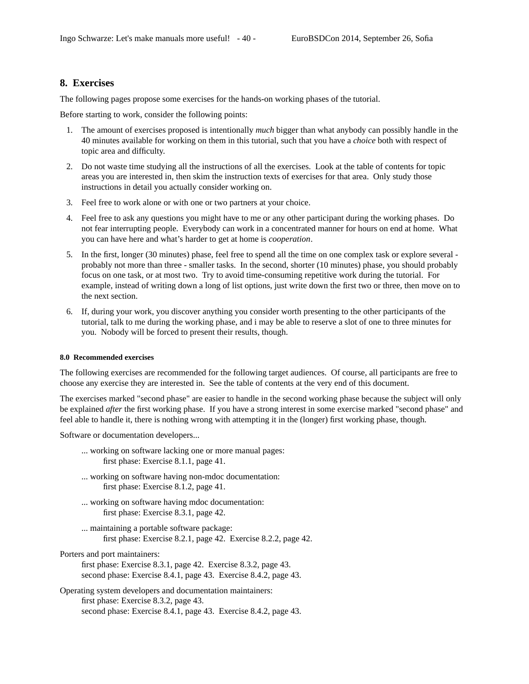# **8. Exercises**

The following pages propose some exercises for the hands-on working phases of the tutorial.

Before starting to work, consider the following points:

- 1. The amount of exercises proposed is intentionally *much* bigger than what anybody can possibly handle in the 40 minutes available for working on them in this tutorial, such that you have a *choice* both with respect of topic area and difficulty.
- 2. Do not waste time studying all the instructions of all the exercises. Look at the table of contents for topic areas you are interested in, then skim the instruction texts of exercises for that area. Only study those instructions in detail you actually consider working on.
- 3. Feel free to work alone or with one or two partners at your choice.
- 4. Feel free to ask any questions you might have to me or any other participant during the working phases. Do not fear interrupting people. Everybody can work in a concentrated manner for hours on end at home. What you can have here and what's harder to get at home is *cooperation*.
- 5. In the first, longer (30 minutes) phase, feel free to spend all the time on one complex task or explore several probably not more than three - smaller tasks. In the second, shorter (10 minutes) phase, you should probably focus on one task, or at most two. Try to avoid time-consuming repetitive work during the tutorial. For example, instead of writing down a long of list options, just write down the first two or three, then move on to the next section.
- 6. If, during your work, you discover anything you consider worth presenting to the other participants of the tutorial, talk to me during the working phase, and i may be able to reserve a slot of one to three minutes for you. Nobody will be forced to present their results, though.

#### **8.0 Recommended exercises**

The following exercises are recommended for the following target audiences. Of course, all participants are free to choose any exercise they are interested in. See the table of contents at the very end of this document.

The exercises marked "second phase" are easier to handle in the second working phase because the subject will only be explained *after* the first working phase. If you have a strong interest in some exercise marked "second phase" and feel able to handle it, there is nothing wrong with attempting it in the (longer) first working phase, though.

Software or documentation developers...

- ... working on software lacking one or more manual pages: first phase: Exercise 8.1.1, page 41.
- ... working on software having non-mdoc documentation: first phase: Exercise 8.1.2, page 41.
- ... working on software having mdoc documentation: first phase: Exercise 8.3.1, page 42.
- ... maintaining a portable software package: first phase: Exercise 8.2.1, page 42. Exercise 8.2.2, page 42.

Porters and port maintainers:

- first phase: Exercise 8.3.1, page 42. Exercise 8.3.2, page 43. second phase: Exercise 8.4.1, page 43. Exercise 8.4.2, page 43.
- Operating system developers and documentation maintainers: first phase: Exercise 8.3.2, page 43. second phase: Exercise 8.4.1, page 43. Exercise 8.4.2, page 43.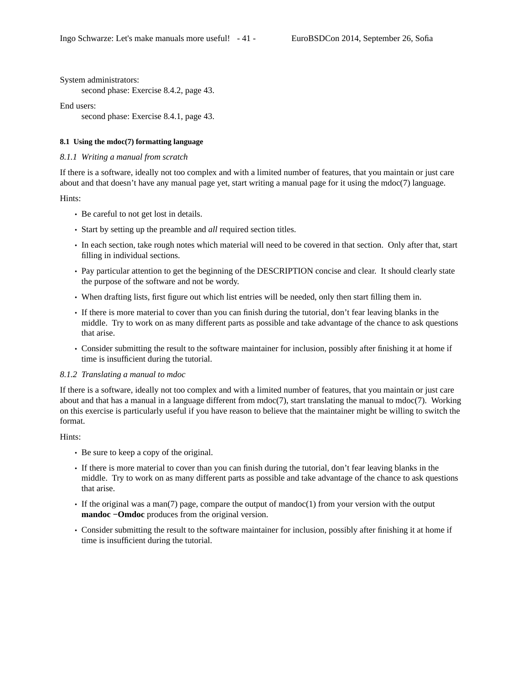System administrators:

second phase: Exercise 8.4.2, page 43.

End users:

second phase: Exercise 8.4.1, page 43.

# **8.1 Using the mdoc(7) formatting language**

## *8.1.1 Writing a manual from scratch*

If there is a software, ideally not too complex and with a limited number of features, that you maintain or just care about and that doesn't have any manual page yet, start writing a manual page for it using the mdoc(7) language.

Hints:

- Be careful to not get lost in details.
- Start by setting up the preamble and *all* required section titles.
- In each section, take rough notes which material will need to be covered in that section. Only after that, start filling in individual sections.
- Pay particular attention to get the beginning of the DESCRIPTION concise and clear. It should clearly state the purpose of the software and not be wordy.
- When drafting lists, first figure out which list entries will be needed, only then start filling them in.
- If there is more material to cover than you can finish during the tutorial, don't fear leaving blanks in the middle. Try to work on as many different parts as possible and take advantage of the chance to ask questions that arise.
- Consider submitting the result to the software maintainer for inclusion, possibly after finishing it at home if time is insufficient during the tutorial.

#### *8.1.2 Translating a manual to mdoc*

If there is a software, ideally not too complex and with a limited number of features, that you maintain or just care about and that has a manual in a language different from  $\text{mdoc}(7)$ , start translating the manual to  $\text{mdoc}(7)$ . Working on this exercise is particularly useful if you have reason to believe that the maintainer might be willing to switch the format.

#### Hints:

- Be sure to keep a copy of the original.
- If there is more material to cover than you can finish during the tutorial, don't fear leaving blanks in the middle. Try to work on as many different parts as possible and take advantage of the chance to ask questions that arise.
- If the original was a man(7) page, compare the output of mandoc(1) from your version with the output **mandoc −Omdoc** produces from the original version.
- Consider submitting the result to the software maintainer for inclusion, possibly after finishing it at home if time is insufficient during the tutorial.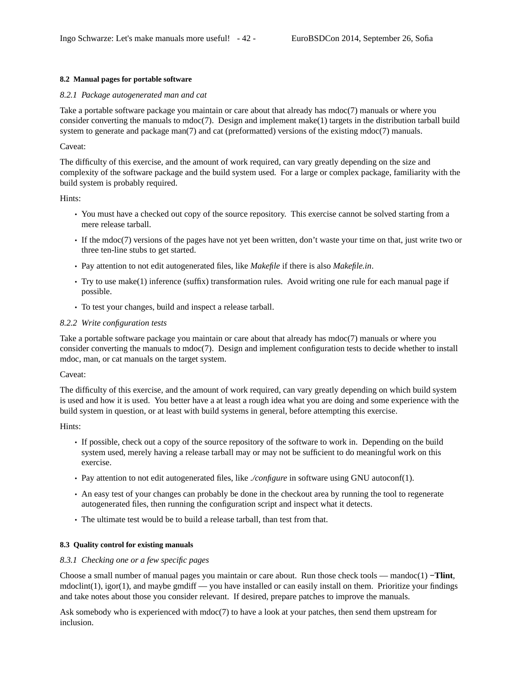# **8.2 Manual pages for portable software**

# *8.2.1 Package autogenerated man and cat*

Take a portable software package you maintain or care about that already has mdoc(7) manuals or where you consider converting the manuals to mdoc(7). Design and implement make(1) targets in the distribution tarball build system to generate and package man(7) and cat (preformatted) versions of the existing mdoc(7) manuals.

# Caveat:

The difficulty of this exercise, and the amount of work required, can vary greatly depending on the size and complexity of the software package and the build system used. Foralarge or complex package, familiarity with the build system is probably required.

Hints:

- You must have a checked out copy of the source repository. This exercise cannot be solved starting from a mere release tarball.
- If the mdoc(7) versions of the pages have not yet been written, don't waste your time on that, just write two or three ten-line stubs to get started.
- Pay attention to not edit autogenerated files, like *Makefile* if there is also *Makefile.in*.
- Try to use make(1) inference (suffix) transformation rules. Av oid writing one rule for each manual page if possible.
- To test your changes, build and inspect a release tarball.

# *8.2.2 Write configuration tests*

Take a portable software package you maintain or care about that already has mdoc(7) manuals or where you consider converting the manuals to mdoc(7). Design and implement configuration tests to decide whether to install mdoc, man, or cat manuals on the target system.

# Caveat:

The difficulty of this exercise, and the amount of work required, can vary greatly depending on which build system is used and how it is used. You better have a at least a rough idea what you are doing and some experience with the build system in question, or at least with build systems in general, before attempting this exercise.

Hints:

- If possible, check out a copy of the source repository of the software to work in. Depending on the build system used, merely having a release tarball may or may not be sufficient to do meaningful work on this exercise.
- Pay attention to not edit autogenerated files, like *./configure* in software using GNU autoconf(1).
- An easy test of your changes can probably be done in the checkout area by running the tool to regenerate autogenerated files, then running the configuration script and inspect what it detects.
- The ultimate test would be to build a release tarball, than test from that.

# **8.3 Quality control for existing manuals**

# *8.3.1 Checking one or a few specific pages*

Choose a small number of manual pages you maintain or care about. Run those check tools — mandoc(1) **−Tlint**, mdoclint(1), igor(1), and maybe gmdiff — you have installed or can easily install on them. Prioritize your findings and take notes about those you consider relevant. If desired, prepare patches to improve the manuals.

Ask somebody who is experienced with mdoc(7) to have a look at your patches, then send them upstream for inclusion.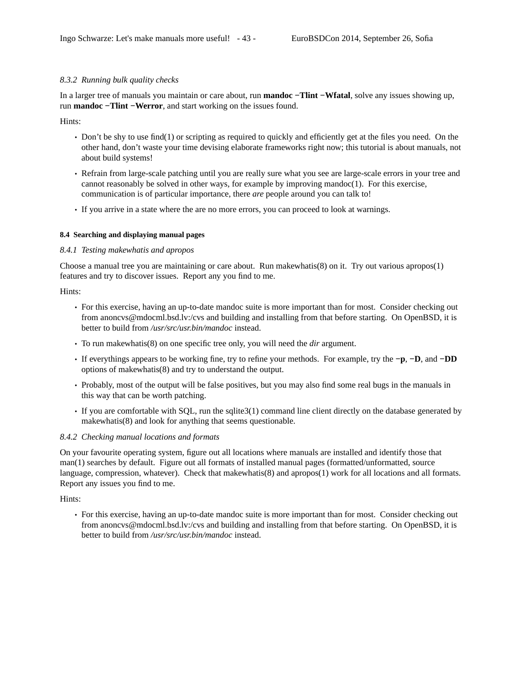# *8.3.2 Running bulk quality checks*

In a larger tree of manuals you maintain or care about, run **mandoc −Tlint −Wfatal**, solve any issues showing up, run **mandoc −Tlint −Werror**, and start working on the issues found.

Hints:

- Don't be shy to use find(1) or scripting as required to quickly and efficiently get at the files you need. On the other hand, don't waste your time devising elaborate frameworks right now; this tutorial is about manuals, not about build systems!
- Refrain from large-scale patching until you are really sure what you see are large-scale errors in your tree and cannot reasonably be solved in other ways, for example by improving mandoc(1). For this exercise, communication is of particular importance, there *are* people around you can talk to!
- If you arrive in a state where the are no more errors, you can proceed to look at warnings.

## **8.4 Searching and displaying manual pages**

## *8.4.1 Testing makewhatis and apropos*

Choose a manual tree you are maintaining or care about. Run makewhatis(8) on it. Try out various apropos(1) features and try to discover issues. Report any you find to me.

Hints:

- For this exercise, having an up-to-date mandoc suite is more important than for most. Consider checking out from anoncvs@mdocml.bsd.lv:/cvs and building and installing from that before starting. On OpenBSD, it is better to build from */usr/src/usr.bin/mandoc* instead.
- To run makewhatis(8) on one specific tree only, you will need the *dir* argument.
- If everythings appears to be working fine, try to refine your methods. For example, try the **−p**, **−D**, and **−DD** options of makewhatis(8) and try to understand the output.
- Probably, most of the output will be false positives, but you may also find some real bugs in the manuals in this way that can be worth patching.
- If you are comfortable with SQL, run the sqlite3(1) command line client directly on the database generated by makewhatis(8) and look for anything that seems questionable.

# *8.4.2 Checking manual locations and formats*

On your favourite operating system, figure out all locations where manuals are installed and identify those that man(1) searches by default. Figure out all formats of installed manual pages (formatted/unformatted, source language, compression, whatever). Check that makewhatis(8) and apropos(1) work for all locations and all formats. Report any issues you find to me.

Hints:

• For this exercise, having an up-to-date mandoc suite is more important than for most. Consider checking out from anoncvs@mdocml.bsd.lv:/cvs and building and installing from that before starting. On OpenBSD, it is better to build from */usr/src/usr.bin/mandoc* instead.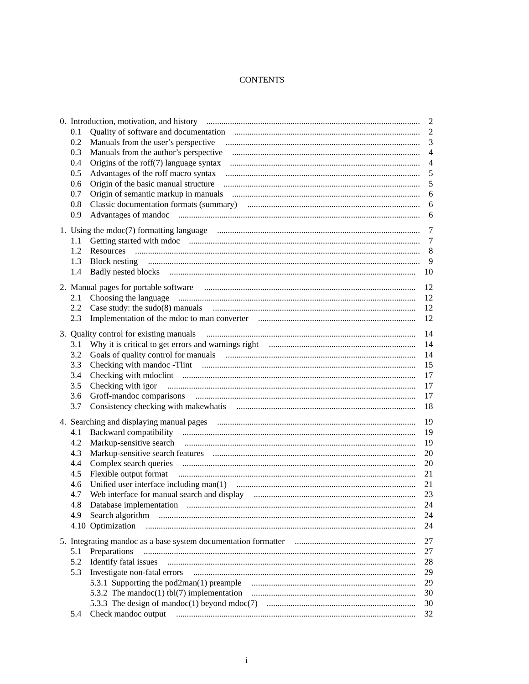# **CONTENTS**

|                                                                                                                                                                                                                                       | 2              |
|---------------------------------------------------------------------------------------------------------------------------------------------------------------------------------------------------------------------------------------|----------------|
| 0.1                                                                                                                                                                                                                                   |                |
| 0.2                                                                                                                                                                                                                                   |                |
| 0.3                                                                                                                                                                                                                                   | $\overline{4}$ |
| 0.4                                                                                                                                                                                                                                   | $\overline{4}$ |
| $0.5^{\circ}$                                                                                                                                                                                                                         |                |
| 0.6                                                                                                                                                                                                                                   | 5              |
| 0.7                                                                                                                                                                                                                                   | 6              |
| 0.8                                                                                                                                                                                                                                   |                |
| 0.9                                                                                                                                                                                                                                   |                |
|                                                                                                                                                                                                                                       |                |
|                                                                                                                                                                                                                                       |                |
| 1.1<br>1.2                                                                                                                                                                                                                            | 8              |
| 1.3                                                                                                                                                                                                                                   | 9              |
|                                                                                                                                                                                                                                       |                |
|                                                                                                                                                                                                                                       |                |
|                                                                                                                                                                                                                                       | 12             |
| 2.1                                                                                                                                                                                                                                   | 12             |
| 2.2                                                                                                                                                                                                                                   | 12             |
| 2.3                                                                                                                                                                                                                                   | 12             |
|                                                                                                                                                                                                                                       | 14             |
| 3.1                                                                                                                                                                                                                                   | 14             |
| 3.2                                                                                                                                                                                                                                   | 14             |
| 3.3                                                                                                                                                                                                                                   | 15             |
| 3.4                                                                                                                                                                                                                                   | 17             |
| $3.5^{\circ}$                                                                                                                                                                                                                         | 17             |
| 3.6                                                                                                                                                                                                                                   | 17             |
| 3.7                                                                                                                                                                                                                                   | 18             |
|                                                                                                                                                                                                                                       |                |
|                                                                                                                                                                                                                                       | 19             |
| 4.1                                                                                                                                                                                                                                   | 19             |
| 4.2                                                                                                                                                                                                                                   | 19             |
| 4.3                                                                                                                                                                                                                                   | 20             |
| 4.4                                                                                                                                                                                                                                   | 20             |
| 4.5                                                                                                                                                                                                                                   | 21             |
| 4.6                                                                                                                                                                                                                                   | 21             |
| 4.7                                                                                                                                                                                                                                   | 23             |
| Database implementation<br>48                                                                                                                                                                                                         | 24             |
| 4.9                                                                                                                                                                                                                                   | 24             |
| 4.10 Optimization                                                                                                                                                                                                                     | 24             |
|                                                                                                                                                                                                                                       | 27             |
| Preparations<br>5.1                                                                                                                                                                                                                   | 27             |
| 5.2                                                                                                                                                                                                                                   | 28             |
| 5.3                                                                                                                                                                                                                                   | 29             |
|                                                                                                                                                                                                                                       | 29             |
|                                                                                                                                                                                                                                       | 30             |
|                                                                                                                                                                                                                                       | 30             |
| Check mandoc output manuscritting contracts and contracts and contracts and contracts and contracts and contracts and contracts and contracts and contracts and contracts and contracts and contracts and contracts and contra<br>5.4 | 32             |
|                                                                                                                                                                                                                                       |                |